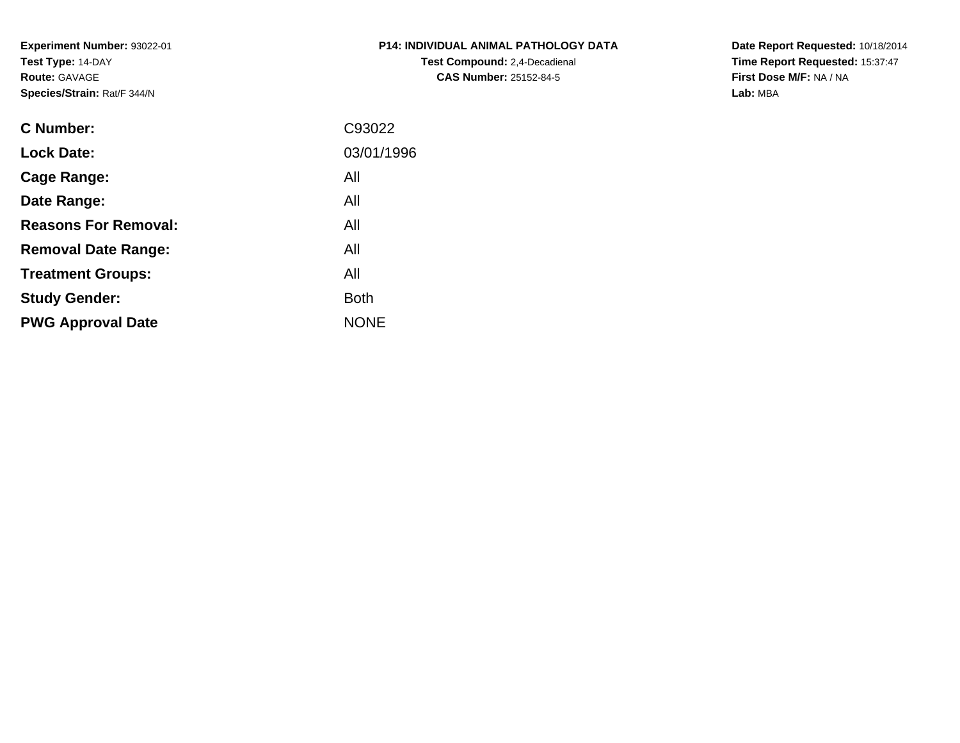**Experiment Number:** 93022-01**Test Type:** 14-DAY**Route:** GAVAGE**Species/Strain:** Rat/F 344/N

| P14: INDIVIDUAL ANIMAL PATHOLOGY DATA |
|---------------------------------------|
| <b>Test Compound:</b> 2.4-Decadienal  |
| <b>CAS Number: 25152-84-5</b>         |

**Date Report Requested:** 10/18/2014 **Time Report Requested:** 15:37:47**First Dose M/F:** NA / NA**Lab:** MBA

| <b>C</b> Number:            | C93022      |
|-----------------------------|-------------|
| <b>Lock Date:</b>           | 03/01/1996  |
| Cage Range:                 | All         |
| Date Range:                 | All         |
| <b>Reasons For Removal:</b> | All         |
| <b>Removal Date Range:</b>  | All         |
| <b>Treatment Groups:</b>    | All         |
| <b>Study Gender:</b>        | <b>Both</b> |
| <b>PWG Approval Date</b>    | <b>NONE</b> |
|                             |             |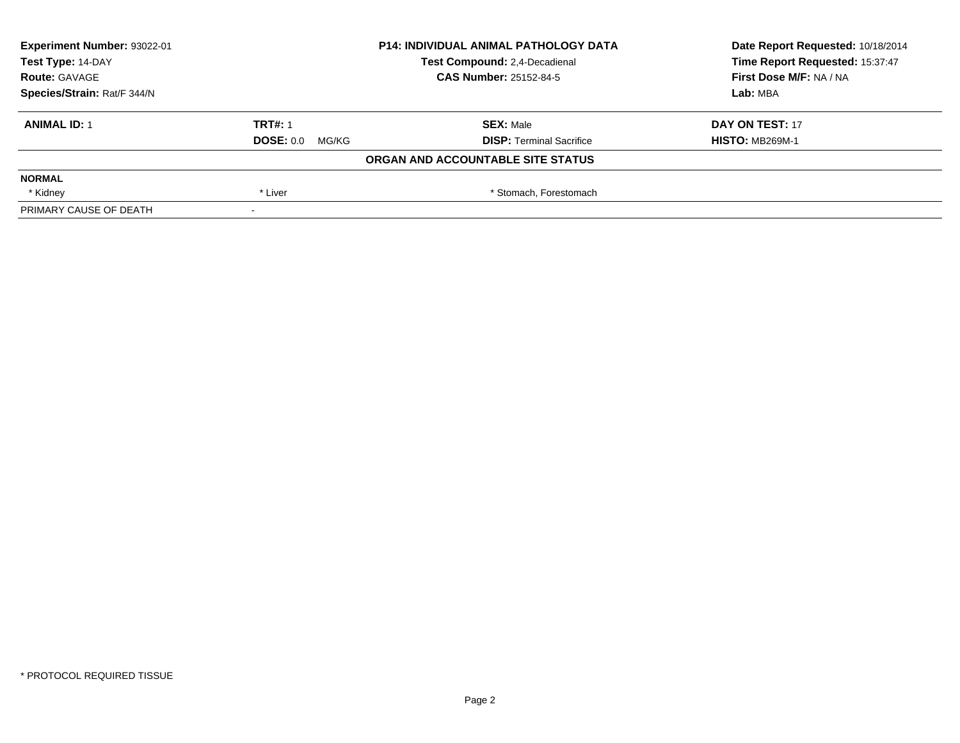| Experiment Number: 93022-01 |                          | <b>P14: INDIVIDUAL ANIMAL PATHOLOGY DATA</b> | Date Report Requested: 10/18/2014 |
|-----------------------------|--------------------------|----------------------------------------------|-----------------------------------|
| Test Type: 14-DAY           |                          | Test Compound: 2,4-Decadienal                | Time Report Requested: 15:37:47   |
| <b>Route: GAVAGE</b>        |                          | <b>CAS Number: 25152-84-5</b>                | First Dose M/F: NA / NA           |
| Species/Strain: Rat/F 344/N |                          |                                              | Lab: MBA                          |
| <b>ANIMAL ID: 1</b>         | <b>TRT#: 1</b>           | <b>SEX: Male</b>                             | DAY ON TEST: 17                   |
|                             | <b>DOSE: 0.0 MG/KG</b>   | <b>DISP: Terminal Sacrifice</b>              | <b>HISTO: MB269M-1</b>            |
|                             |                          | ORGAN AND ACCOUNTABLE SITE STATUS            |                                   |
| <b>NORMAL</b>               |                          |                                              |                                   |
| * Kidney                    | * Liver                  | * Stomach, Forestomach                       |                                   |
| PRIMARY CAUSE OF DEATH      | $\overline{\phantom{a}}$ |                                              |                                   |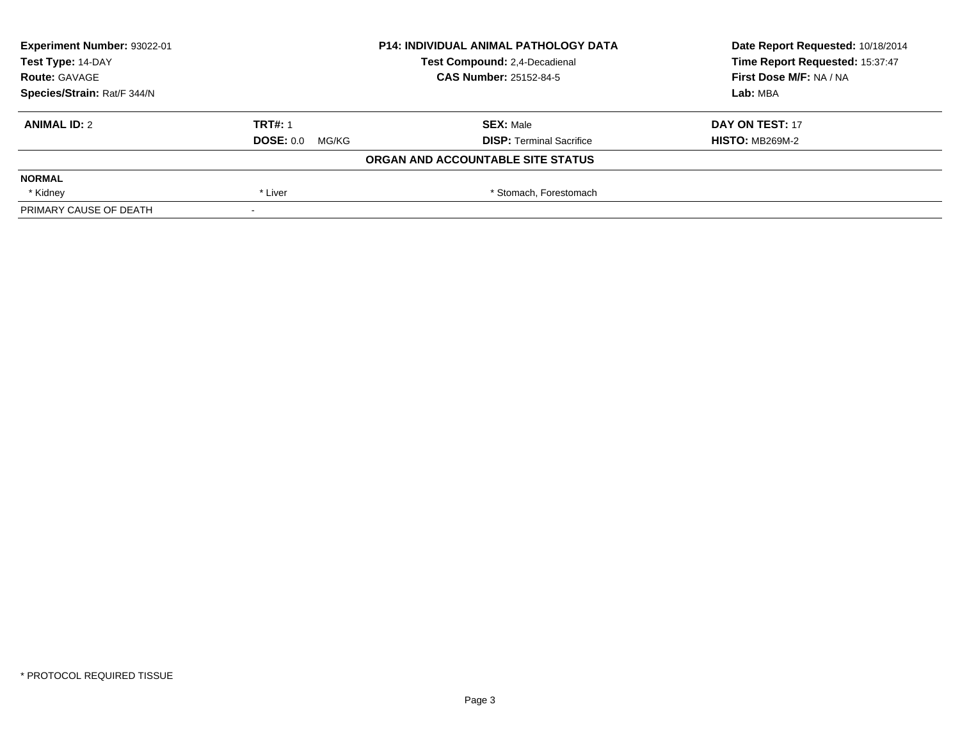| Experiment Number: 93022-01 |                          | <b>P14: INDIVIDUAL ANIMAL PATHOLOGY DATA</b> | Date Report Requested: 10/18/2014 |
|-----------------------------|--------------------------|----------------------------------------------|-----------------------------------|
| Test Type: 14-DAY           |                          | Test Compound: 2,4-Decadienal                | Time Report Requested: 15:37:47   |
| <b>Route: GAVAGE</b>        |                          | <b>CAS Number: 25152-84-5</b>                | First Dose M/F: NA / NA           |
| Species/Strain: Rat/F 344/N |                          |                                              | Lab: MBA                          |
| <b>ANIMAL ID: 2</b>         | <b>TRT#: 1</b>           | <b>SEX: Male</b>                             | DAY ON TEST: 17                   |
|                             | <b>DOSE: 0.0 MG/KG</b>   | <b>DISP: Terminal Sacrifice</b>              | <b>HISTO: MB269M-2</b>            |
|                             |                          | ORGAN AND ACCOUNTABLE SITE STATUS            |                                   |
| <b>NORMAL</b>               |                          |                                              |                                   |
| * Kidney                    | * Liver                  | * Stomach, Forestomach                       |                                   |
| PRIMARY CAUSE OF DEATH      | $\overline{\phantom{a}}$ |                                              |                                   |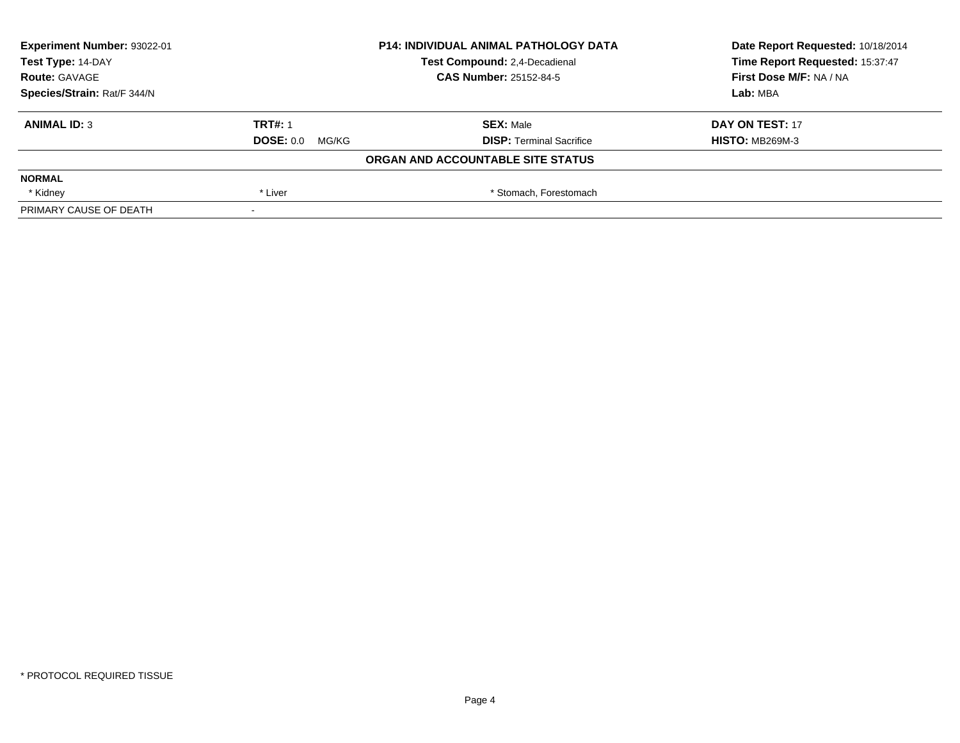| Experiment Number: 93022-01 |                          | <b>P14: INDIVIDUAL ANIMAL PATHOLOGY DATA</b> | Date Report Requested: 10/18/2014 |
|-----------------------------|--------------------------|----------------------------------------------|-----------------------------------|
| Test Type: 14-DAY           |                          | Test Compound: 2,4-Decadienal                | Time Report Requested: 15:37:47   |
| <b>Route: GAVAGE</b>        |                          | <b>CAS Number: 25152-84-5</b>                | First Dose M/F: NA / NA           |
| Species/Strain: Rat/F 344/N |                          |                                              | Lab: MBA                          |
| <b>ANIMAL ID: 3</b>         | <b>TRT#: 1</b>           | <b>SEX: Male</b>                             | DAY ON TEST: 17                   |
|                             | <b>DOSE: 0.0 MG/KG</b>   | <b>DISP: Terminal Sacrifice</b>              | <b>HISTO: MB269M-3</b>            |
|                             |                          | ORGAN AND ACCOUNTABLE SITE STATUS            |                                   |
| <b>NORMAL</b>               |                          |                                              |                                   |
| * Kidney                    | * Liver                  | * Stomach, Forestomach                       |                                   |
| PRIMARY CAUSE OF DEATH      | $\overline{\phantom{a}}$ |                                              |                                   |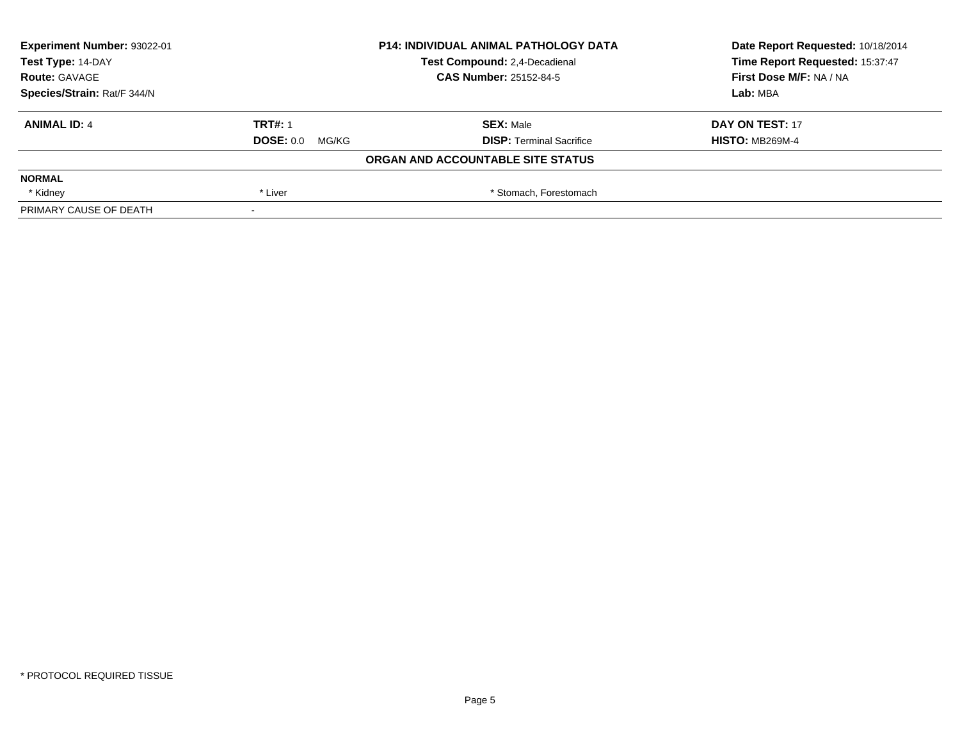| Experiment Number: 93022-01 |                          | <b>P14: INDIVIDUAL ANIMAL PATHOLOGY DATA</b> | Date Report Requested: 10/18/2014 |
|-----------------------------|--------------------------|----------------------------------------------|-----------------------------------|
| Test Type: 14-DAY           |                          | Test Compound: 2,4-Decadienal                | Time Report Requested: 15:37:47   |
| <b>Route: GAVAGE</b>        |                          | <b>CAS Number: 25152-84-5</b>                | First Dose M/F: NA / NA           |
| Species/Strain: Rat/F 344/N |                          |                                              | Lab: MBA                          |
| <b>ANIMAL ID: 4</b>         | <b>TRT#: 1</b>           | <b>SEX: Male</b>                             | DAY ON TEST: 17                   |
|                             | <b>DOSE: 0.0 MG/KG</b>   | <b>DISP: Terminal Sacrifice</b>              | <b>HISTO: MB269M-4</b>            |
|                             |                          | ORGAN AND ACCOUNTABLE SITE STATUS            |                                   |
| <b>NORMAL</b>               |                          |                                              |                                   |
| * Kidney                    | * Liver                  | * Stomach, Forestomach                       |                                   |
| PRIMARY CAUSE OF DEATH      | $\overline{\phantom{a}}$ |                                              |                                   |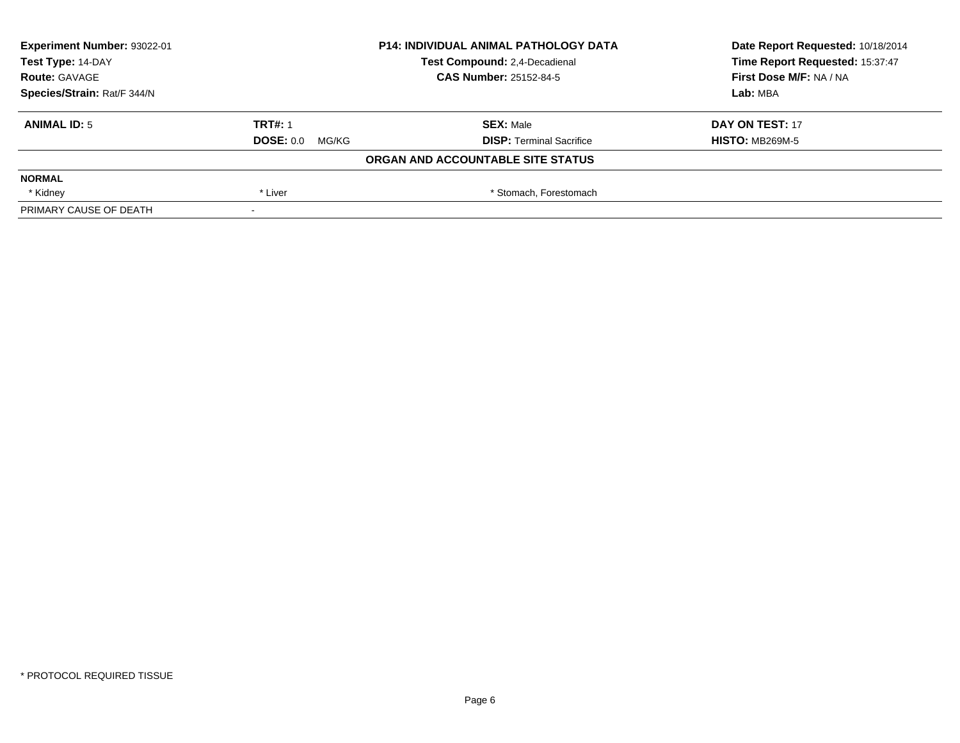| <b>Experiment Number: 93022-01</b> |                        | <b>P14: INDIVIDUAL ANIMAL PATHOLOGY DATA</b> | Date Report Requested: 10/18/2014 |
|------------------------------------|------------------------|----------------------------------------------|-----------------------------------|
| Test Type: 14-DAY                  |                        | Test Compound: 2,4-Decadienal                | Time Report Requested: 15:37:47   |
| <b>Route: GAVAGE</b>               |                        | <b>CAS Number: 25152-84-5</b>                | First Dose M/F: NA / NA           |
| Species/Strain: Rat/F 344/N        |                        |                                              | Lab: MBA                          |
| <b>ANIMAL ID: 5</b>                | <b>TRT#: 1</b>         | <b>SEX: Male</b>                             | DAY ON TEST: 17                   |
|                                    | <b>DOSE: 0.0 MG/KG</b> | <b>DISP:</b> Terminal Sacrifice              | <b>HISTO: MB269M-5</b>            |
|                                    |                        | ORGAN AND ACCOUNTABLE SITE STATUS            |                                   |
| <b>NORMAL</b>                      |                        |                                              |                                   |
| * Kidney                           | * Liver                | * Stomach, Forestomach                       |                                   |
| PRIMARY CAUSE OF DEATH             |                        |                                              |                                   |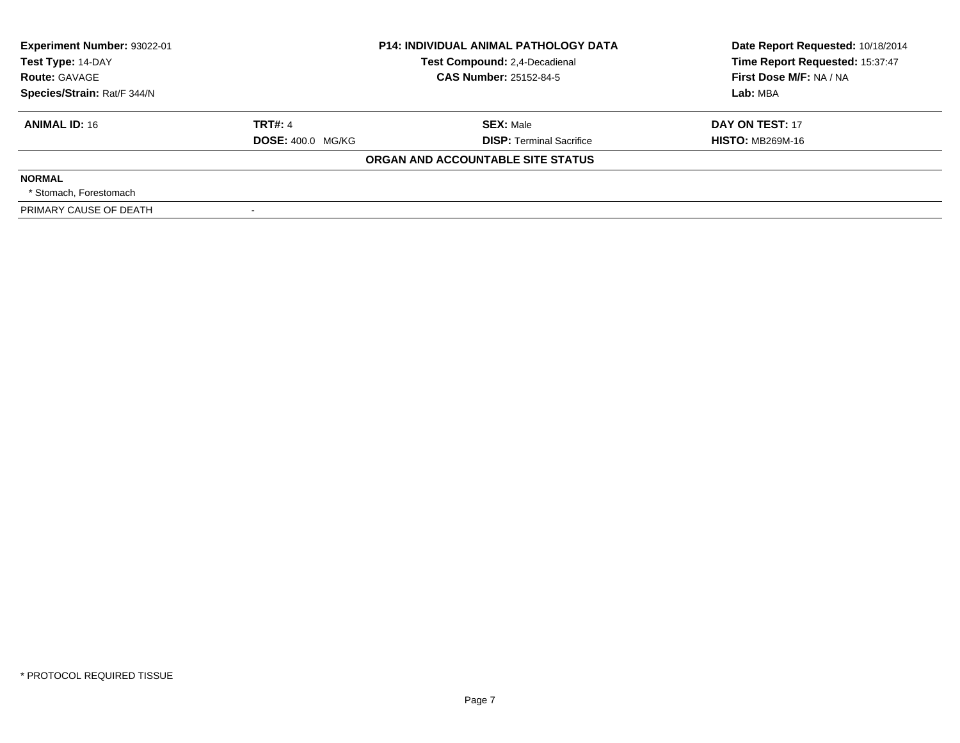| Experiment Number: 93022-01 | <b>P14: INDIVIDUAL ANIMAL PATHOLOGY DATA</b> |                                   | Date Report Requested: 10/18/2014 |
|-----------------------------|----------------------------------------------|-----------------------------------|-----------------------------------|
| Test Type: 14-DAY           |                                              | Test Compound: 2,4-Decadienal     | Time Report Requested: 15:37:47   |
| <b>Route: GAVAGE</b>        |                                              | <b>CAS Number: 25152-84-5</b>     | First Dose M/F: NA / NA           |
| Species/Strain: Rat/F 344/N |                                              |                                   | Lab: MBA                          |
| <b>ANIMAL ID: 16</b>        | <b>TRT#: 4</b>                               | <b>SEX: Male</b>                  | DAY ON TEST: 17                   |
|                             | <b>DOSE: 400.0 MG/KG</b>                     | <b>DISP:</b> Terminal Sacrifice   | <b>HISTO: MB269M-16</b>           |
|                             |                                              | ORGAN AND ACCOUNTABLE SITE STATUS |                                   |
| <b>NORMAL</b>               |                                              |                                   |                                   |
| * Stomach. Forestomach      |                                              |                                   |                                   |
| PRIMARY CAUSE OF DEATH      |                                              |                                   |                                   |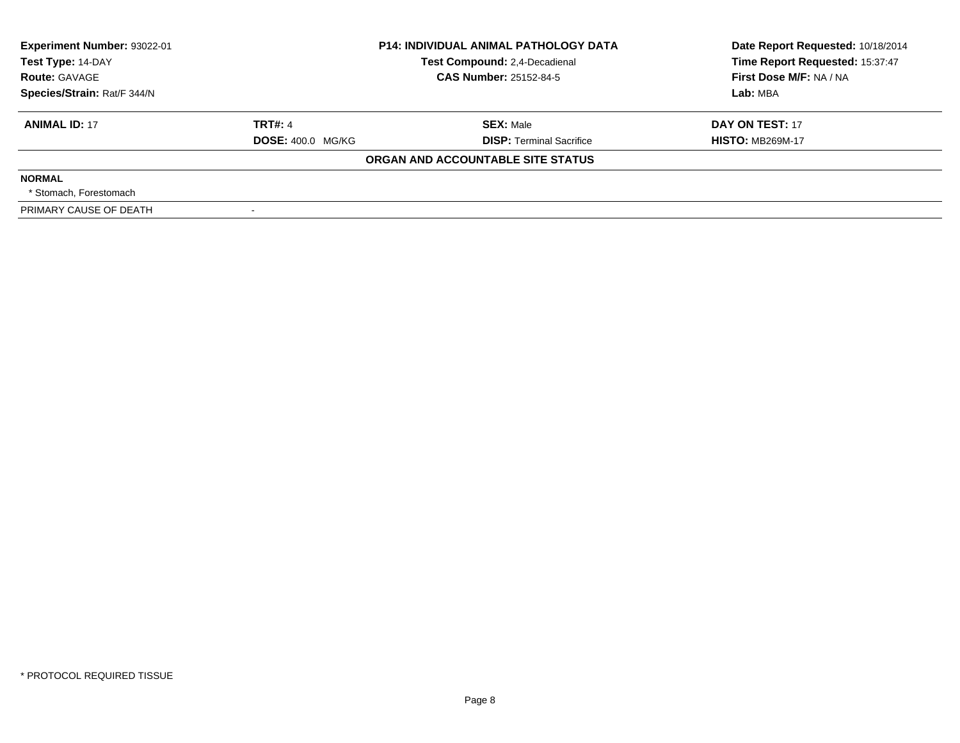| Experiment Number: 93022-01 | <b>P14: INDIVIDUAL ANIMAL PATHOLOGY DATA</b> |                                   | Date Report Requested: 10/18/2014 |
|-----------------------------|----------------------------------------------|-----------------------------------|-----------------------------------|
| Test Type: 14-DAY           |                                              | Test Compound: 2,4-Decadienal     | Time Report Requested: 15:37:47   |
| <b>Route: GAVAGE</b>        |                                              | <b>CAS Number: 25152-84-5</b>     | First Dose M/F: NA / NA           |
| Species/Strain: Rat/F 344/N |                                              |                                   | Lab: MBA                          |
| <b>ANIMAL ID: 17</b>        | <b>TRT#: 4</b>                               | <b>SEX: Male</b>                  | DAY ON TEST: 17                   |
|                             | <b>DOSE: 400.0 MG/KG</b>                     | <b>DISP:</b> Terminal Sacrifice   | <b>HISTO: MB269M-17</b>           |
|                             |                                              | ORGAN AND ACCOUNTABLE SITE STATUS |                                   |
| <b>NORMAL</b>               |                                              |                                   |                                   |
| * Stomach. Forestomach      |                                              |                                   |                                   |
| PRIMARY CAUSE OF DEATH      |                                              |                                   |                                   |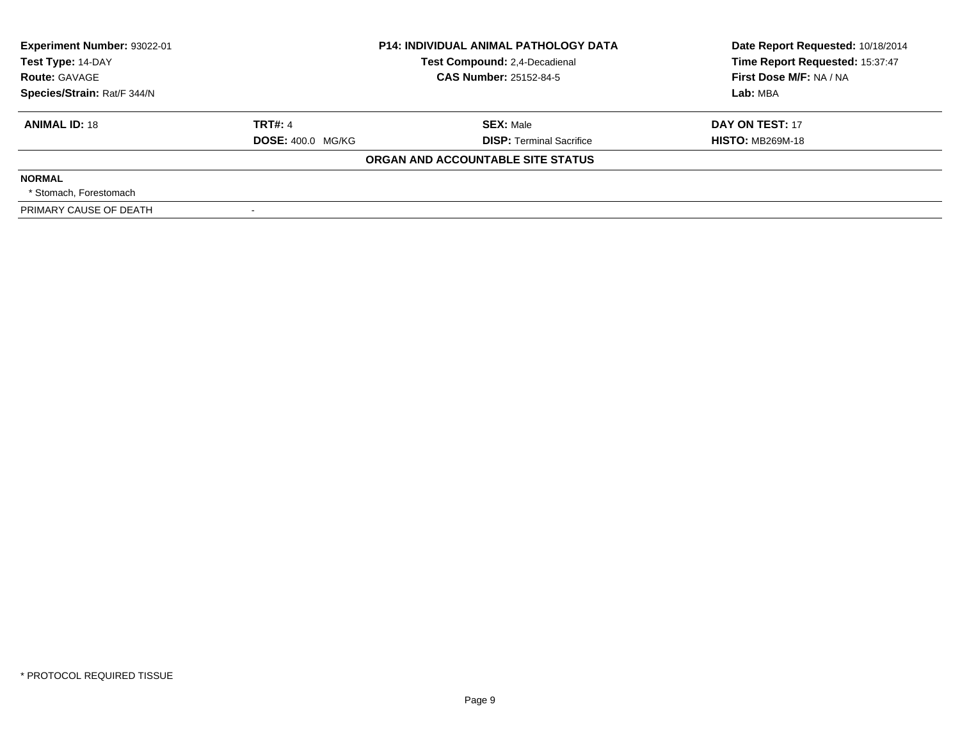| Experiment Number: 93022-01 | <b>P14: INDIVIDUAL ANIMAL PATHOLOGY DATA</b> |                                   | Date Report Requested: 10/18/2014 |
|-----------------------------|----------------------------------------------|-----------------------------------|-----------------------------------|
| Test Type: 14-DAY           |                                              | Test Compound: 2,4-Decadienal     | Time Report Requested: 15:37:47   |
| <b>Route: GAVAGE</b>        |                                              | <b>CAS Number: 25152-84-5</b>     | First Dose M/F: NA / NA           |
| Species/Strain: Rat/F 344/N |                                              |                                   | Lab: MBA                          |
| <b>ANIMAL ID: 18</b>        | <b>TRT#: 4</b>                               | <b>SEX: Male</b>                  | DAY ON TEST: 17                   |
|                             | <b>DOSE: 400.0 MG/KG</b>                     | <b>DISP:</b> Terminal Sacrifice   | <b>HISTO: MB269M-18</b>           |
|                             |                                              | ORGAN AND ACCOUNTABLE SITE STATUS |                                   |
| <b>NORMAL</b>               |                                              |                                   |                                   |
| * Stomach. Forestomach      |                                              |                                   |                                   |
| PRIMARY CAUSE OF DEATH      |                                              |                                   |                                   |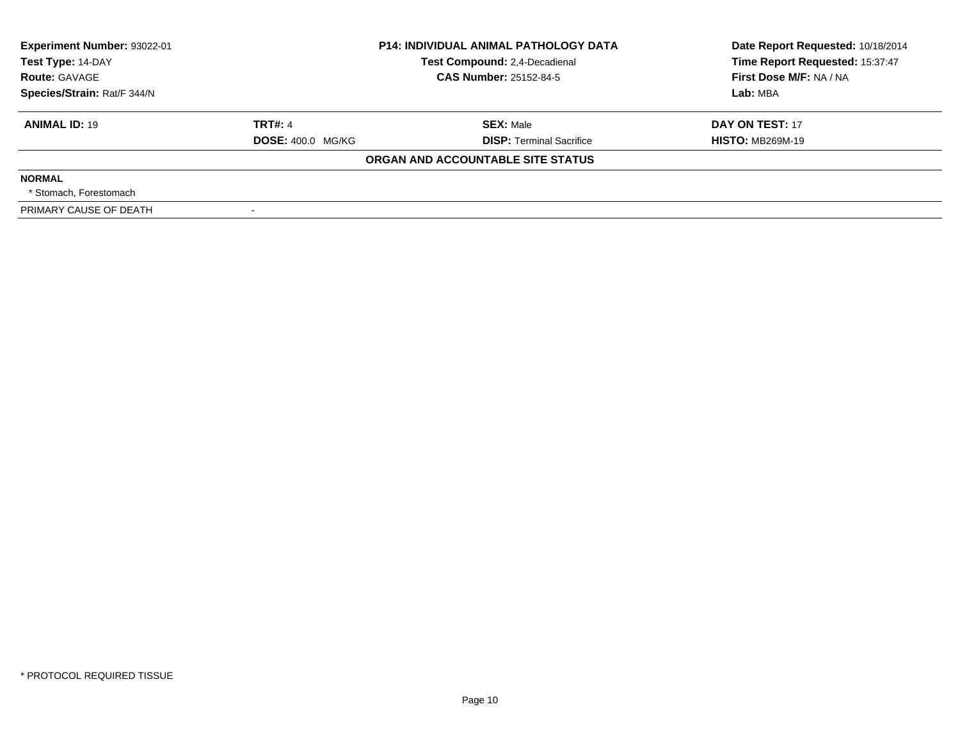| Experiment Number: 93022-01 | <b>P14: INDIVIDUAL ANIMAL PATHOLOGY DATA</b> |                                   | Date Report Requested: 10/18/2014 |
|-----------------------------|----------------------------------------------|-----------------------------------|-----------------------------------|
| Test Type: 14-DAY           |                                              | Test Compound: 2,4-Decadienal     | Time Report Requested: 15:37:47   |
| <b>Route: GAVAGE</b>        |                                              | <b>CAS Number: 25152-84-5</b>     | First Dose M/F: NA / NA           |
| Species/Strain: Rat/F 344/N |                                              |                                   | Lab: MBA                          |
| <b>ANIMAL ID: 19</b>        | <b>TRT#: 4</b>                               | <b>SEX: Male</b>                  | DAY ON TEST: 17                   |
|                             | <b>DOSE: 400.0 MG/KG</b>                     | <b>DISP:</b> Terminal Sacrifice   | <b>HISTO: MB269M-19</b>           |
|                             |                                              | ORGAN AND ACCOUNTABLE SITE STATUS |                                   |
| <b>NORMAL</b>               |                                              |                                   |                                   |
| * Stomach. Forestomach      |                                              |                                   |                                   |
| PRIMARY CAUSE OF DEATH      |                                              |                                   |                                   |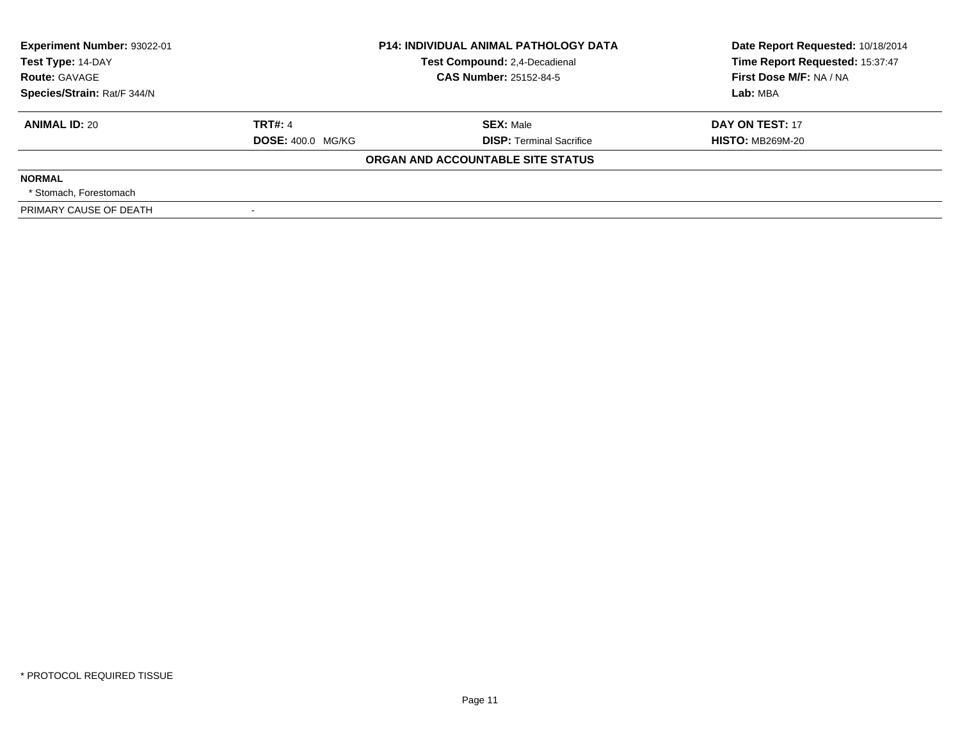| Experiment Number: 93022-01 | <b>P14: INDIVIDUAL ANIMAL PATHOLOGY DATA</b> |                                   | Date Report Requested: 10/18/2014 |
|-----------------------------|----------------------------------------------|-----------------------------------|-----------------------------------|
| Test Type: 14-DAY           |                                              | Test Compound: 2,4-Decadienal     | Time Report Requested: 15:37:47   |
| <b>Route: GAVAGE</b>        |                                              | <b>CAS Number: 25152-84-5</b>     | First Dose M/F: NA / NA           |
| Species/Strain: Rat/F 344/N |                                              |                                   | Lab: MBA                          |
| <b>ANIMAL ID: 20</b>        | <b>TRT#: 4</b>                               | <b>SEX: Male</b>                  | DAY ON TEST: 17                   |
|                             | <b>DOSE: 400.0 MG/KG</b>                     | <b>DISP:</b> Terminal Sacrifice   | <b>HISTO: MB269M-20</b>           |
|                             |                                              | ORGAN AND ACCOUNTABLE SITE STATUS |                                   |
| <b>NORMAL</b>               |                                              |                                   |                                   |
| * Stomach. Forestomach      |                                              |                                   |                                   |
| PRIMARY CAUSE OF DEATH      |                                              |                                   |                                   |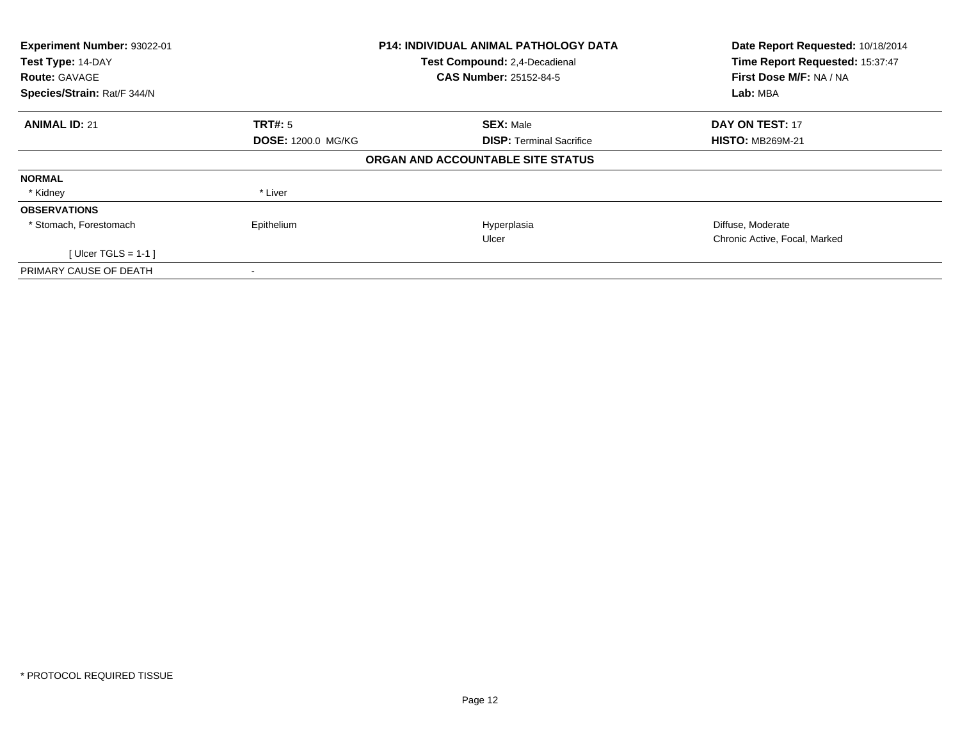| Experiment Number: 93022-01<br>Test Type: 14-DAY<br><b>Route: GAVAGE</b> |                           | <b>P14: INDIVIDUAL ANIMAL PATHOLOGY DATA</b><br>Test Compound: 2,4-Decadienal<br><b>CAS Number: 25152-84-5</b> | Date Report Requested: 10/18/2014<br>Time Report Requested: 15:37:47<br>First Dose M/F: NA / NA |
|--------------------------------------------------------------------------|---------------------------|----------------------------------------------------------------------------------------------------------------|-------------------------------------------------------------------------------------------------|
| Species/Strain: Rat/F 344/N                                              |                           |                                                                                                                | Lab: MBA                                                                                        |
| <b>ANIMAL ID: 21</b>                                                     | <b>TRT#: 5</b>            | <b>SEX: Male</b>                                                                                               | <b>DAY ON TEST: 17</b>                                                                          |
|                                                                          | <b>DOSE: 1200.0 MG/KG</b> | <b>DISP:</b> Terminal Sacrifice                                                                                | <b>HISTO: MB269M-21</b>                                                                         |
|                                                                          |                           | ORGAN AND ACCOUNTABLE SITE STATUS                                                                              |                                                                                                 |
| <b>NORMAL</b>                                                            |                           |                                                                                                                |                                                                                                 |
| * Kidney                                                                 | * Liver                   |                                                                                                                |                                                                                                 |
| <b>OBSERVATIONS</b>                                                      |                           |                                                                                                                |                                                                                                 |
| * Stomach, Forestomach                                                   | Epithelium                | Hyperplasia                                                                                                    | Diffuse, Moderate                                                                               |
|                                                                          |                           | Ulcer                                                                                                          | Chronic Active, Focal, Marked                                                                   |
| [ Ulcer TGLS = $1-1$ ]                                                   |                           |                                                                                                                |                                                                                                 |
| PRIMARY CAUSE OF DEATH                                                   | $\,$                      |                                                                                                                |                                                                                                 |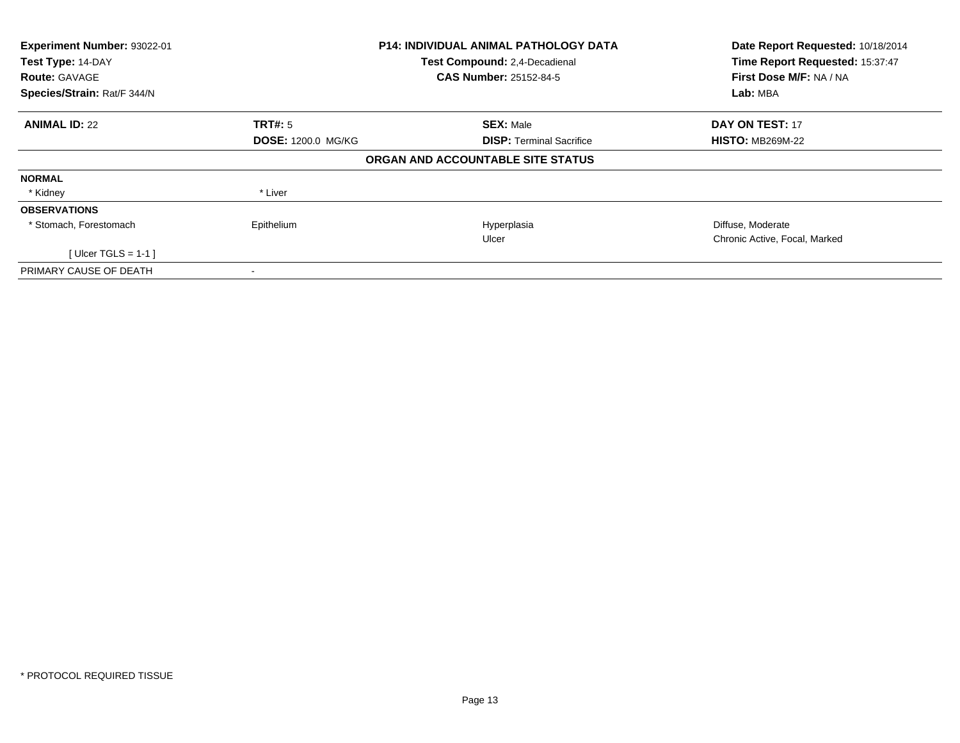| Experiment Number: 93022-01<br>Test Type: 14-DAY<br><b>Route: GAVAGE</b> |                           | <b>P14: INDIVIDUAL ANIMAL PATHOLOGY DATA</b><br>Test Compound: 2,4-Decadienal<br><b>CAS Number: 25152-84-5</b> | Date Report Requested: 10/18/2014<br>Time Report Requested: 15:37:47<br>First Dose M/F: NA / NA |
|--------------------------------------------------------------------------|---------------------------|----------------------------------------------------------------------------------------------------------------|-------------------------------------------------------------------------------------------------|
| Species/Strain: Rat/F 344/N                                              |                           |                                                                                                                | Lab: MBA                                                                                        |
| <b>ANIMAL ID: 22</b>                                                     | TRT#: 5                   | <b>SEX: Male</b>                                                                                               | DAY ON TEST: 17                                                                                 |
|                                                                          | <b>DOSE: 1200.0 MG/KG</b> | <b>DISP:</b> Terminal Sacrifice                                                                                | <b>HISTO: MB269M-22</b>                                                                         |
|                                                                          |                           | ORGAN AND ACCOUNTABLE SITE STATUS                                                                              |                                                                                                 |
| <b>NORMAL</b>                                                            |                           |                                                                                                                |                                                                                                 |
| * Kidney                                                                 | * Liver                   |                                                                                                                |                                                                                                 |
| <b>OBSERVATIONS</b>                                                      |                           |                                                                                                                |                                                                                                 |
| * Stomach, Forestomach                                                   | Epithelium                | Hyperplasia                                                                                                    | Diffuse, Moderate                                                                               |
|                                                                          |                           | Ulcer                                                                                                          | Chronic Active, Focal, Marked                                                                   |
| [ Ulcer TGLS = $1-1$ ]                                                   |                           |                                                                                                                |                                                                                                 |
| PRIMARY CAUSE OF DEATH                                                   |                           |                                                                                                                |                                                                                                 |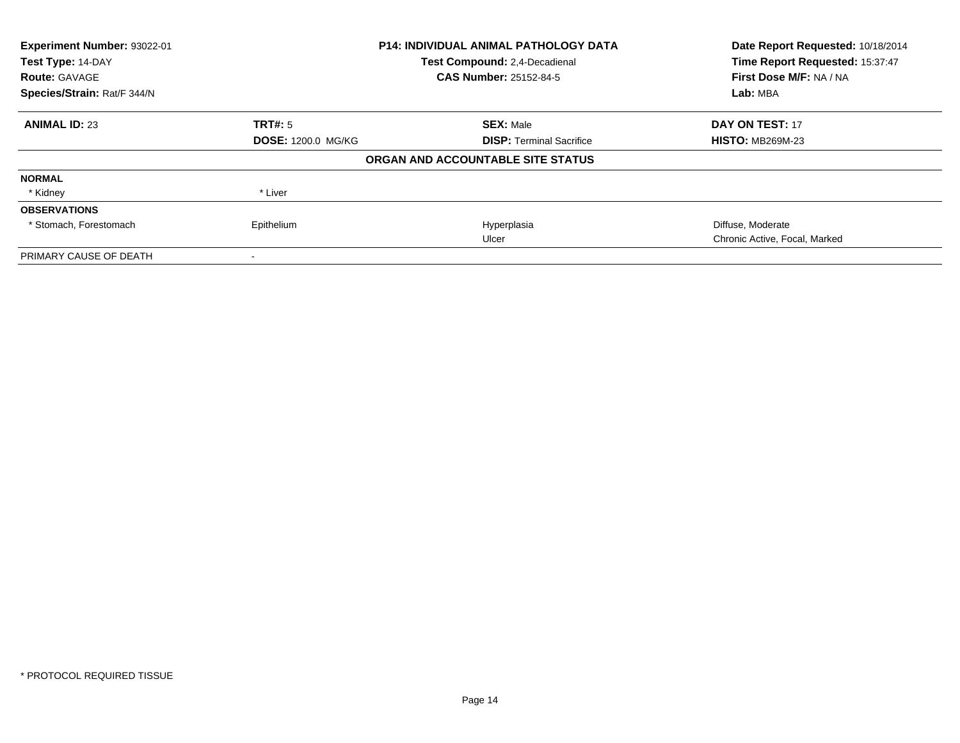| Experiment Number: 93022-01<br>Test Type: 14-DAY |                           | <b>P14: INDIVIDUAL ANIMAL PATHOLOGY DATA</b> | Date Report Requested: 10/18/2014<br>Time Report Requested: 15:37:47 |
|--------------------------------------------------|---------------------------|----------------------------------------------|----------------------------------------------------------------------|
|                                                  |                           | Test Compound: 2,4-Decadienal                |                                                                      |
| <b>Route: GAVAGE</b>                             |                           | <b>CAS Number: 25152-84-5</b>                | First Dose M/F: NA / NA                                              |
| Species/Strain: Rat/F 344/N                      |                           | Lab: MBA                                     |                                                                      |
| <b>ANIMAL ID: 23</b>                             | TRT#: 5                   | <b>SEX: Male</b>                             | <b>DAY ON TEST: 17</b>                                               |
|                                                  | <b>DOSE: 1200.0 MG/KG</b> | <b>DISP:</b> Terminal Sacrifice              | <b>HISTO: MB269M-23</b>                                              |
|                                                  |                           | ORGAN AND ACCOUNTABLE SITE STATUS            |                                                                      |
| <b>NORMAL</b>                                    |                           |                                              |                                                                      |
| * Kidney                                         | * Liver                   |                                              |                                                                      |
| <b>OBSERVATIONS</b>                              |                           |                                              |                                                                      |
| * Stomach, Forestomach                           | Epithelium                | Hyperplasia                                  | Diffuse, Moderate                                                    |
|                                                  |                           | Ulcer                                        | Chronic Active, Focal, Marked                                        |
| PRIMARY CAUSE OF DEATH                           |                           |                                              |                                                                      |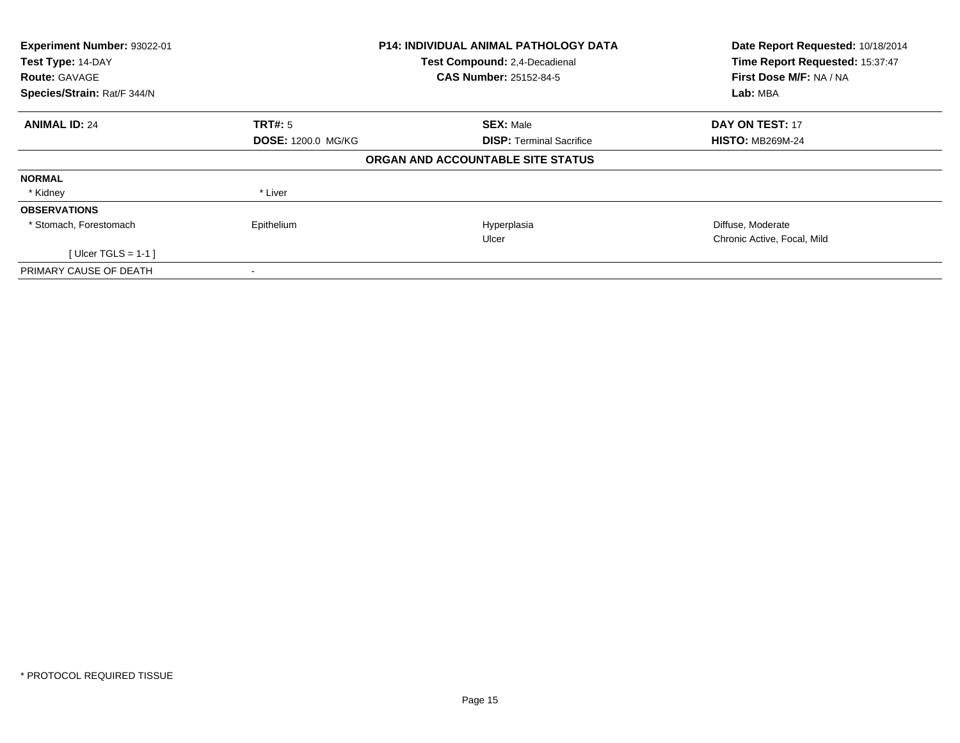| Experiment Number: 93022-01<br>Test Type: 14-DAY<br><b>Route: GAVAGE</b> |                           | <b>P14: INDIVIDUAL ANIMAL PATHOLOGY DATA</b><br>Test Compound: 2,4-Decadienal<br><b>CAS Number: 25152-84-5</b> | Date Report Requested: 10/18/2014<br>Time Report Requested: 15:37:47<br>First Dose M/F: NA / NA |  |
|--------------------------------------------------------------------------|---------------------------|----------------------------------------------------------------------------------------------------------------|-------------------------------------------------------------------------------------------------|--|
| Species/Strain: Rat/F 344/N                                              |                           |                                                                                                                | Lab: MBA                                                                                        |  |
| <b>ANIMAL ID: 24</b>                                                     | TRT#: 5                   | <b>SEX: Male</b>                                                                                               | DAY ON TEST: 17                                                                                 |  |
|                                                                          | <b>DOSE: 1200.0 MG/KG</b> | <b>DISP:</b> Terminal Sacrifice                                                                                | <b>HISTO: MB269M-24</b>                                                                         |  |
|                                                                          |                           | ORGAN AND ACCOUNTABLE SITE STATUS                                                                              |                                                                                                 |  |
| <b>NORMAL</b>                                                            |                           |                                                                                                                |                                                                                                 |  |
| * Kidney                                                                 | * Liver                   |                                                                                                                |                                                                                                 |  |
| <b>OBSERVATIONS</b>                                                      |                           |                                                                                                                |                                                                                                 |  |
| * Stomach, Forestomach                                                   | Epithelium                | Hyperplasia                                                                                                    | Diffuse, Moderate                                                                               |  |
|                                                                          |                           | Ulcer                                                                                                          | Chronic Active, Focal, Mild                                                                     |  |
| [ Ulcer TGLS = $1-1$ ]                                                   |                           |                                                                                                                |                                                                                                 |  |
| PRIMARY CAUSE OF DEATH                                                   |                           |                                                                                                                |                                                                                                 |  |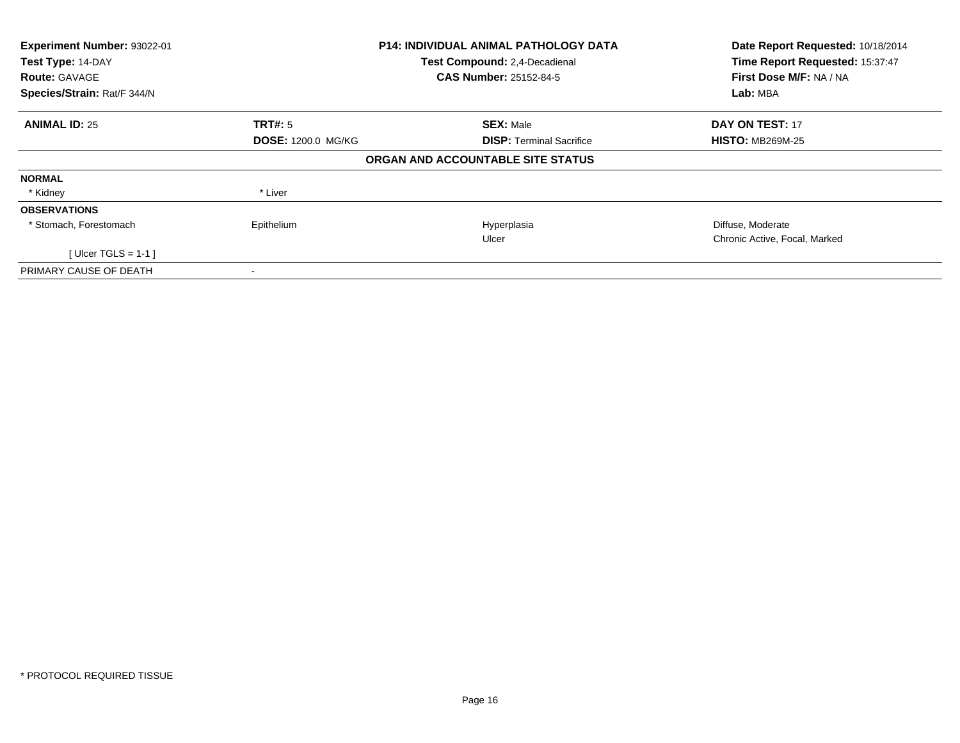| Experiment Number: 93022-01<br>Test Type: 14-DAY |                           | <b>P14: INDIVIDUAL ANIMAL PATHOLOGY DATA</b> | Date Report Requested: 10/18/2014<br>Time Report Requested: 15:37:47 |  |
|--------------------------------------------------|---------------------------|----------------------------------------------|----------------------------------------------------------------------|--|
|                                                  |                           | Test Compound: 2,4-Decadienal                |                                                                      |  |
| <b>Route: GAVAGE</b>                             |                           | <b>CAS Number: 25152-84-5</b>                | First Dose M/F: NA / NA                                              |  |
| Species/Strain: Rat/F 344/N                      |                           |                                              | Lab: MBA                                                             |  |
| <b>ANIMAL ID: 25</b>                             | <b>TRT#: 5</b>            | <b>SEX: Male</b>                             | <b>DAY ON TEST: 17</b>                                               |  |
|                                                  | <b>DOSE: 1200.0 MG/KG</b> | <b>DISP:</b> Terminal Sacrifice              | <b>HISTO: MB269M-25</b>                                              |  |
|                                                  |                           | ORGAN AND ACCOUNTABLE SITE STATUS            |                                                                      |  |
| <b>NORMAL</b>                                    |                           |                                              |                                                                      |  |
| * Kidney                                         | * Liver                   |                                              |                                                                      |  |
| <b>OBSERVATIONS</b>                              |                           |                                              |                                                                      |  |
| * Stomach, Forestomach                           | Epithelium                | Hyperplasia                                  | Diffuse, Moderate                                                    |  |
|                                                  |                           | Ulcer                                        | Chronic Active, Focal, Marked                                        |  |
| [ Ulcer TGLS = $1-1$ ]                           |                           |                                              |                                                                      |  |
| PRIMARY CAUSE OF DEATH                           | $\,$                      |                                              |                                                                      |  |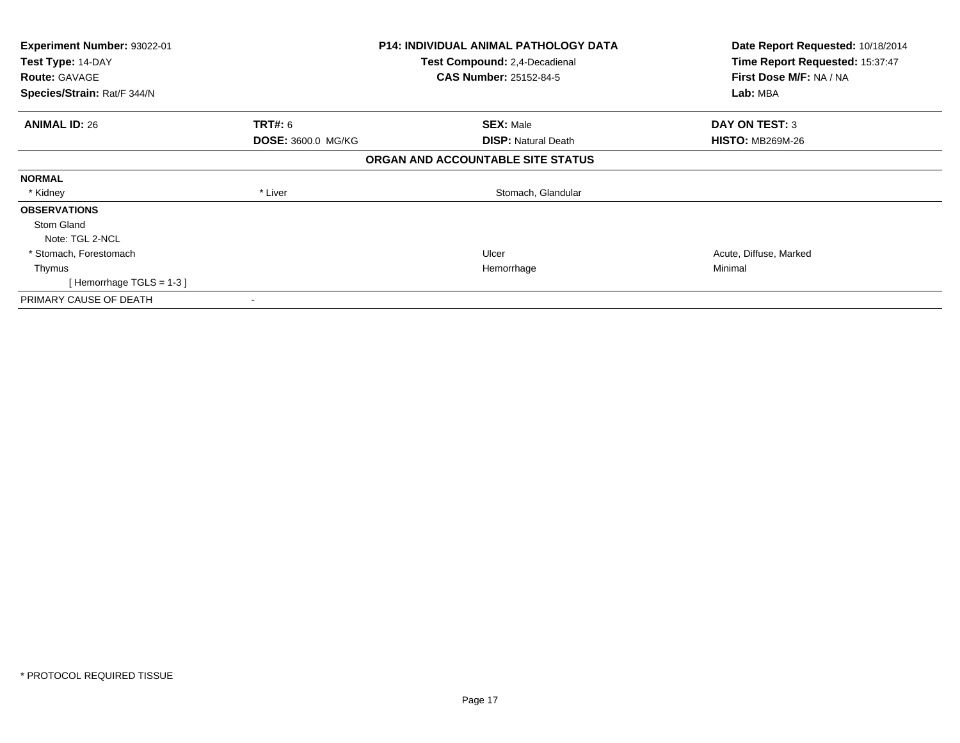| <b>Experiment Number: 93022-01</b><br>Test Type: 14-DAY |                    | <b>P14: INDIVIDUAL ANIMAL PATHOLOGY DATA</b> | Date Report Requested: 10/18/2014<br>Time Report Requested: 15:37:47 |  |
|---------------------------------------------------------|--------------------|----------------------------------------------|----------------------------------------------------------------------|--|
|                                                         |                    | <b>Test Compound: 2,4-Decadienal</b>         |                                                                      |  |
| <b>Route: GAVAGE</b>                                    |                    | <b>CAS Number: 25152-84-5</b>                | First Dose M/F: NA / NA                                              |  |
| Species/Strain: Rat/F 344/N                             |                    |                                              | Lab: MBA                                                             |  |
| <b>ANIMAL ID: 26</b>                                    | <b>TRT#:</b> 6     | <b>SEX: Male</b>                             | <b>DAY ON TEST: 3</b>                                                |  |
|                                                         | DOSE: 3600.0 MG/KG | <b>DISP: Natural Death</b>                   | <b>HISTO: MB269M-26</b>                                              |  |
|                                                         |                    | ORGAN AND ACCOUNTABLE SITE STATUS            |                                                                      |  |
| <b>NORMAL</b>                                           |                    |                                              |                                                                      |  |
| * Kidney                                                | * Liver            | Stomach, Glandular                           |                                                                      |  |
| <b>OBSERVATIONS</b>                                     |                    |                                              |                                                                      |  |
| Stom Gland                                              |                    |                                              |                                                                      |  |
| Note: TGL 2-NCL                                         |                    |                                              |                                                                      |  |
| * Stomach, Forestomach                                  |                    | Ulcer                                        | Acute, Diffuse, Marked                                               |  |
| Thymus                                                  |                    | Hemorrhage                                   | Minimal                                                              |  |
| [Hemorrhage TGLS = $1-3$ ]                              |                    |                                              |                                                                      |  |
| PRIMARY CAUSE OF DEATH                                  |                    |                                              |                                                                      |  |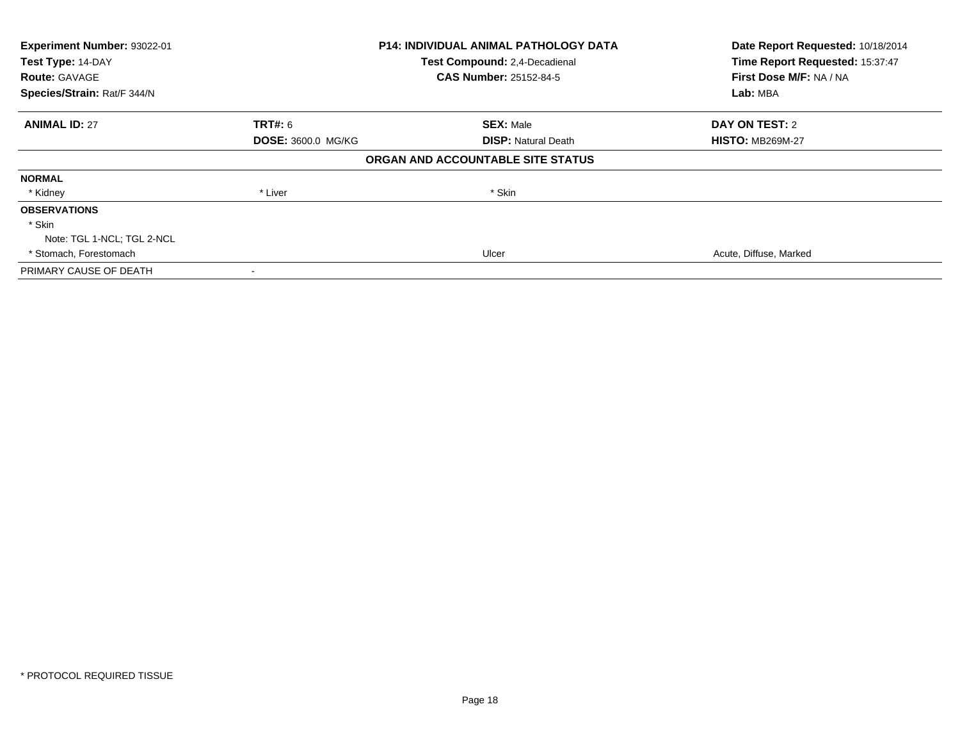| Experiment Number: 93022-01<br>Test Type: 14-DAY |                           | <b>P14: INDIVIDUAL ANIMAL PATHOLOGY DATA</b> | Date Report Requested: 10/18/2014<br>Time Report Requested: 15:37:47 |  |
|--------------------------------------------------|---------------------------|----------------------------------------------|----------------------------------------------------------------------|--|
|                                                  |                           | Test Compound: 2,4-Decadienal                |                                                                      |  |
| <b>Route: GAVAGE</b>                             |                           | CAS Number: 25152-84-5                       | First Dose M/F: NA / NA                                              |  |
| Species/Strain: Rat/F 344/N                      |                           |                                              | Lab: MBA                                                             |  |
| <b>ANIMAL ID: 27</b>                             | TRT#: 6                   | <b>SEX: Male</b>                             | DAY ON TEST: 2                                                       |  |
|                                                  | <b>DOSE: 3600.0 MG/KG</b> | <b>DISP:</b> Natural Death                   | <b>HISTO: MB269M-27</b>                                              |  |
|                                                  |                           | ORGAN AND ACCOUNTABLE SITE STATUS            |                                                                      |  |
| <b>NORMAL</b>                                    |                           |                                              |                                                                      |  |
| * Kidney                                         | * Liver                   | * Skin                                       |                                                                      |  |
| <b>OBSERVATIONS</b>                              |                           |                                              |                                                                      |  |
| * Skin                                           |                           |                                              |                                                                      |  |
| Note: TGL 1-NCL; TGL 2-NCL                       |                           |                                              |                                                                      |  |
| * Stomach, Forestomach                           |                           | Ulcer                                        | Acute, Diffuse, Marked                                               |  |
| PRIMARY CAUSE OF DEATH                           |                           |                                              |                                                                      |  |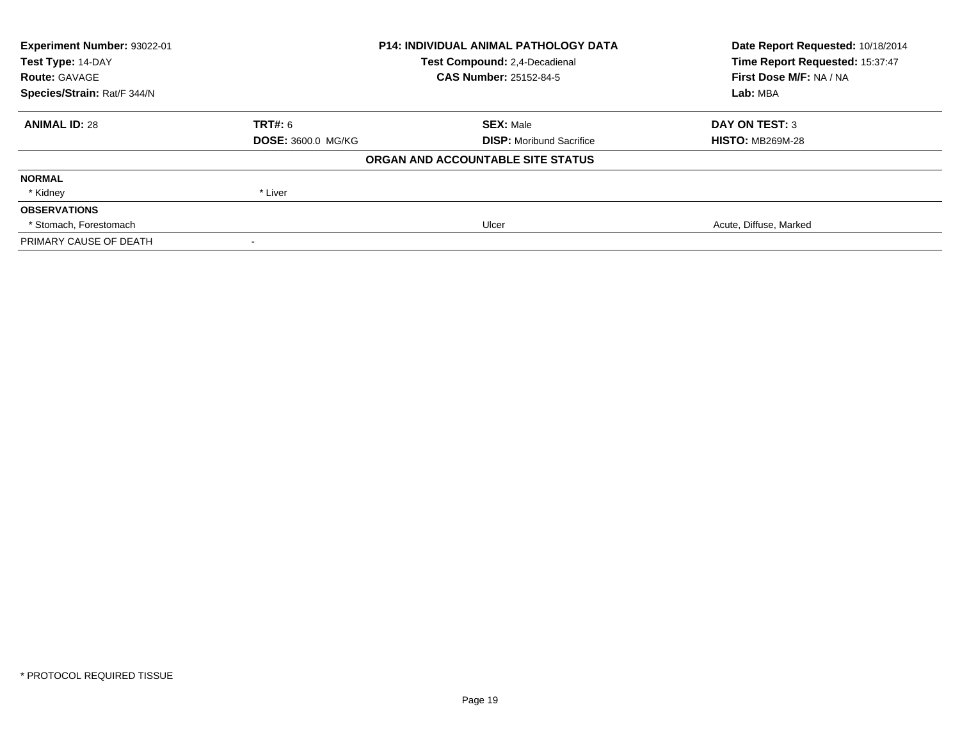| Experiment Number: 93022-01 |                                      | <b>P14: INDIVIDUAL ANIMAL PATHOLOGY DATA</b> | Date Report Requested: 10/18/2014 |
|-----------------------------|--------------------------------------|----------------------------------------------|-----------------------------------|
| Test Type: 14-DAY           | <b>Test Compound: 2.4-Decadienal</b> |                                              | Time Report Requested: 15:37:47   |
| <b>Route: GAVAGE</b>        |                                      | <b>CAS Number: 25152-84-5</b>                | First Dose M/F: NA / NA           |
| Species/Strain: Rat/F 344/N |                                      |                                              | Lab: MBA                          |
| <b>ANIMAL ID: 28</b>        | TRT#: 6                              | <b>SEX: Male</b>                             | <b>DAY ON TEST: 3</b>             |
|                             | <b>DOSE: 3600.0 MG/KG</b>            | <b>DISP:</b> Moribund Sacrifice              | <b>HISTO: MB269M-28</b>           |
|                             |                                      | ORGAN AND ACCOUNTABLE SITE STATUS            |                                   |
| <b>NORMAL</b>               |                                      |                                              |                                   |
| * Kidney                    | * Liver                              |                                              |                                   |
| <b>OBSERVATIONS</b>         |                                      |                                              |                                   |
| * Stomach, Forestomach      |                                      | Ulcer                                        | Acute, Diffuse, Marked            |
| PRIMARY CAUSE OF DEATH      |                                      |                                              |                                   |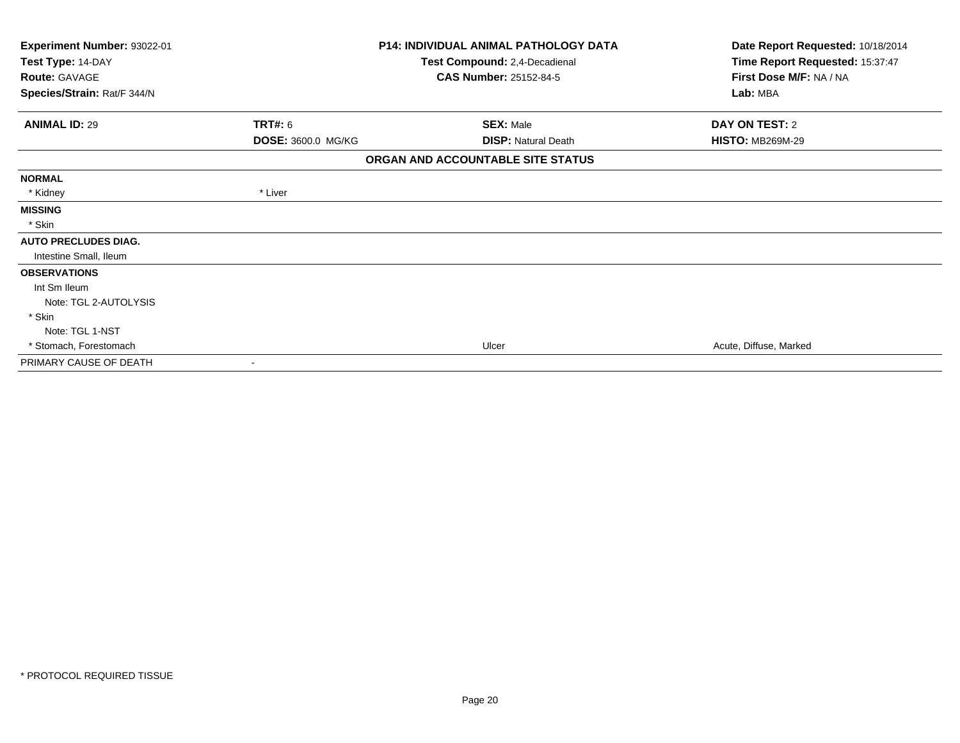| Experiment Number: 93022-01<br>Test Type: 14-DAY<br><b>Route: GAVAGE</b><br>Species/Strain: Rat/F 344/N |                           | <b>P14: INDIVIDUAL ANIMAL PATHOLOGY DATA</b><br>Test Compound: 2,4-Decadienal<br><b>CAS Number: 25152-84-5</b> | Date Report Requested: 10/18/2014<br>Time Report Requested: 15:37:47<br>First Dose M/F: NA / NA<br>Lab: MBA |
|---------------------------------------------------------------------------------------------------------|---------------------------|----------------------------------------------------------------------------------------------------------------|-------------------------------------------------------------------------------------------------------------|
| <b>ANIMAL ID: 29</b>                                                                                    | TRT#: 6                   | <b>SEX: Male</b>                                                                                               | DAY ON TEST: 2                                                                                              |
|                                                                                                         | <b>DOSE: 3600.0 MG/KG</b> | <b>DISP: Natural Death</b>                                                                                     | <b>HISTO: MB269M-29</b>                                                                                     |
|                                                                                                         |                           | ORGAN AND ACCOUNTABLE SITE STATUS                                                                              |                                                                                                             |
| <b>NORMAL</b>                                                                                           |                           |                                                                                                                |                                                                                                             |
| * Kidney                                                                                                | * Liver                   |                                                                                                                |                                                                                                             |
| <b>MISSING</b>                                                                                          |                           |                                                                                                                |                                                                                                             |
| * Skin                                                                                                  |                           |                                                                                                                |                                                                                                             |
| <b>AUTO PRECLUDES DIAG.</b>                                                                             |                           |                                                                                                                |                                                                                                             |
| Intestine Small, Ileum                                                                                  |                           |                                                                                                                |                                                                                                             |
| <b>OBSERVATIONS</b>                                                                                     |                           |                                                                                                                |                                                                                                             |
| Int Sm Ileum                                                                                            |                           |                                                                                                                |                                                                                                             |
| Note: TGL 2-AUTOLYSIS                                                                                   |                           |                                                                                                                |                                                                                                             |
| * Skin                                                                                                  |                           |                                                                                                                |                                                                                                             |
| Note: TGL 1-NST                                                                                         |                           |                                                                                                                |                                                                                                             |
| * Stomach, Forestomach                                                                                  |                           | Ulcer                                                                                                          | Acute, Diffuse, Marked                                                                                      |
| PRIMARY CAUSE OF DEATH                                                                                  |                           |                                                                                                                |                                                                                                             |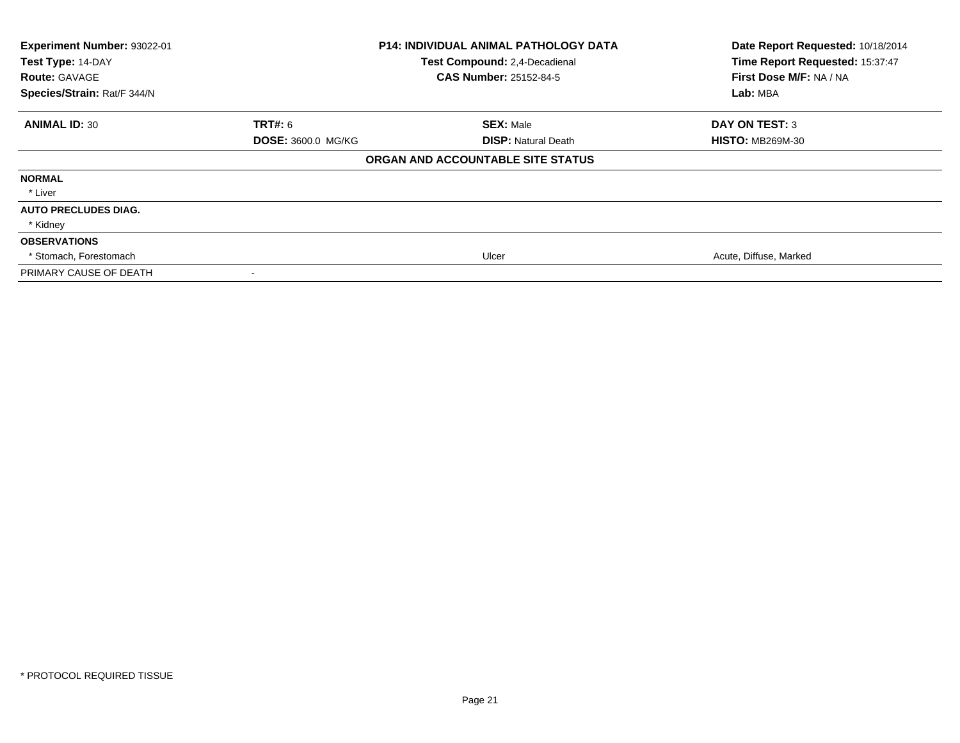| Experiment Number: 93022-01<br>Test Type: 14-DAY<br><b>Route: GAVAGE</b><br>Species/Strain: Rat/F 344/N |                           | <b>P14: INDIVIDUAL ANIMAL PATHOLOGY DATA</b><br>Test Compound: 2,4-Decadienal<br><b>CAS Number: 25152-84-5</b> | Date Report Requested: 10/18/2014<br>Time Report Requested: 15:37:47<br>First Dose M/F: NA / NA<br>Lab: MBA |
|---------------------------------------------------------------------------------------------------------|---------------------------|----------------------------------------------------------------------------------------------------------------|-------------------------------------------------------------------------------------------------------------|
| <b>ANIMAL ID: 30</b>                                                                                    | <b>TRT#:</b> 6            | <b>SEX: Male</b>                                                                                               | <b>DAY ON TEST: 3</b>                                                                                       |
|                                                                                                         | <b>DOSE: 3600.0 MG/KG</b> | <b>DISP: Natural Death</b>                                                                                     | <b>HISTO: MB269M-30</b>                                                                                     |
|                                                                                                         |                           | ORGAN AND ACCOUNTABLE SITE STATUS                                                                              |                                                                                                             |
| <b>NORMAL</b>                                                                                           |                           |                                                                                                                |                                                                                                             |
| * Liver                                                                                                 |                           |                                                                                                                |                                                                                                             |
| <b>AUTO PRECLUDES DIAG.</b>                                                                             |                           |                                                                                                                |                                                                                                             |
| * Kidney                                                                                                |                           |                                                                                                                |                                                                                                             |
| <b>OBSERVATIONS</b>                                                                                     |                           |                                                                                                                |                                                                                                             |
| * Stomach, Forestomach                                                                                  |                           | Ulcer                                                                                                          | Acute, Diffuse, Marked                                                                                      |
| PRIMARY CAUSE OF DEATH                                                                                  |                           |                                                                                                                |                                                                                                             |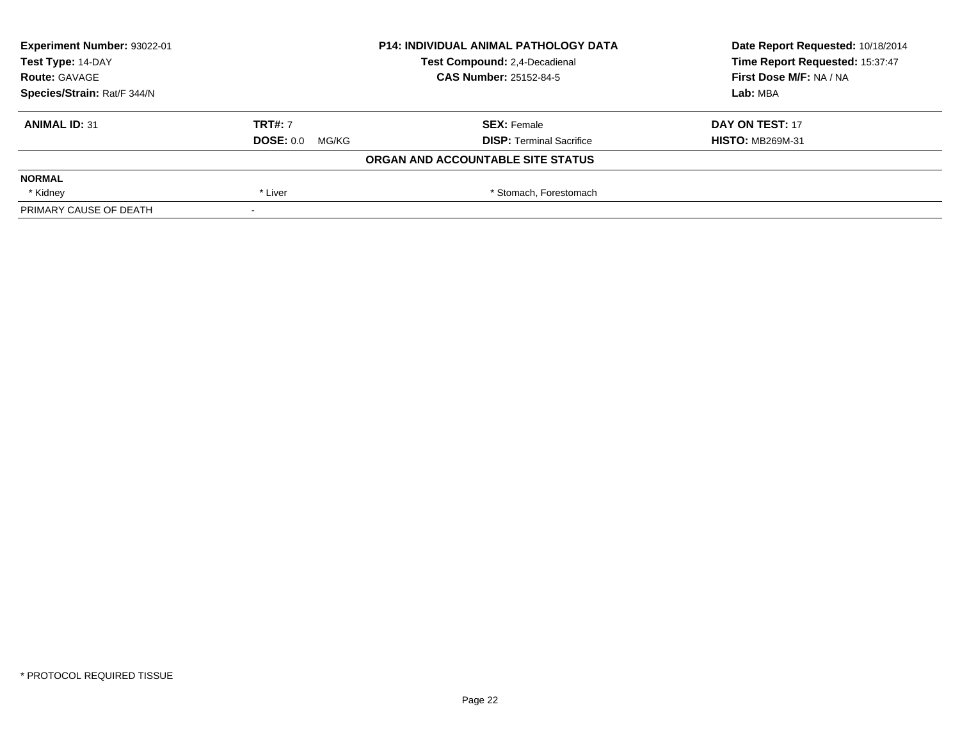| Experiment Number: 93022-01 |                               | <b>P14: INDIVIDUAL ANIMAL PATHOLOGY DATA</b> | Date Report Requested: 10/18/2014 |  |
|-----------------------------|-------------------------------|----------------------------------------------|-----------------------------------|--|
| Test Type: 14-DAY           | Test Compound: 2,4-Decadienal |                                              | Time Report Requested: 15:37:47   |  |
| <b>Route: GAVAGE</b>        |                               | <b>CAS Number: 25152-84-5</b>                | First Dose M/F: NA / NA           |  |
| Species/Strain: Rat/F 344/N |                               |                                              | Lab: MBA                          |  |
| <b>ANIMAL ID: 31</b>        | <b>TRT#: 7</b>                | <b>SEX: Female</b>                           | DAY ON TEST: 17                   |  |
|                             | <b>DOSE: 0.0 MG/KG</b>        | <b>DISP: Terminal Sacrifice</b>              | <b>HISTO: MB269M-31</b>           |  |
|                             |                               | ORGAN AND ACCOUNTABLE SITE STATUS            |                                   |  |
| <b>NORMAL</b>               |                               |                                              |                                   |  |
| * Kidney                    | * Liver                       | * Stomach, Forestomach                       |                                   |  |
| PRIMARY CAUSE OF DEATH      | $\,$                          |                                              |                                   |  |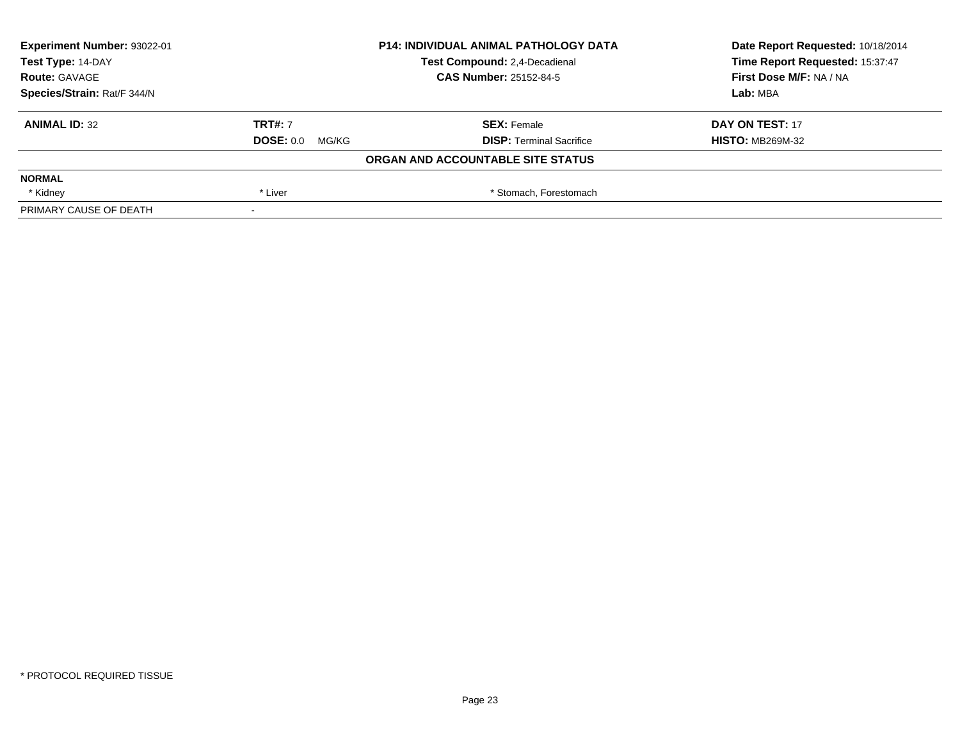| Experiment Number: 93022-01 |                               | <b>P14: INDIVIDUAL ANIMAL PATHOLOGY DATA</b> | Date Report Requested: 10/18/2014 |  |
|-----------------------------|-------------------------------|----------------------------------------------|-----------------------------------|--|
| Test Type: 14-DAY           | Test Compound: 2,4-Decadienal |                                              | Time Report Requested: 15:37:47   |  |
| <b>Route: GAVAGE</b>        |                               | <b>CAS Number: 25152-84-5</b>                | First Dose M/F: NA / NA           |  |
| Species/Strain: Rat/F 344/N |                               |                                              | Lab: MBA                          |  |
| <b>ANIMAL ID: 32</b>        | <b>TRT#: 7</b>                | <b>SEX: Female</b>                           | DAY ON TEST: 17                   |  |
|                             | <b>DOSE: 0.0 MG/KG</b>        | <b>DISP: Terminal Sacrifice</b>              | <b>HISTO: MB269M-32</b>           |  |
|                             |                               | ORGAN AND ACCOUNTABLE SITE STATUS            |                                   |  |
| <b>NORMAL</b>               |                               |                                              |                                   |  |
| * Kidney                    | * Liver                       | * Stomach, Forestomach                       |                                   |  |
| PRIMARY CAUSE OF DEATH      | $\,$                          |                                              |                                   |  |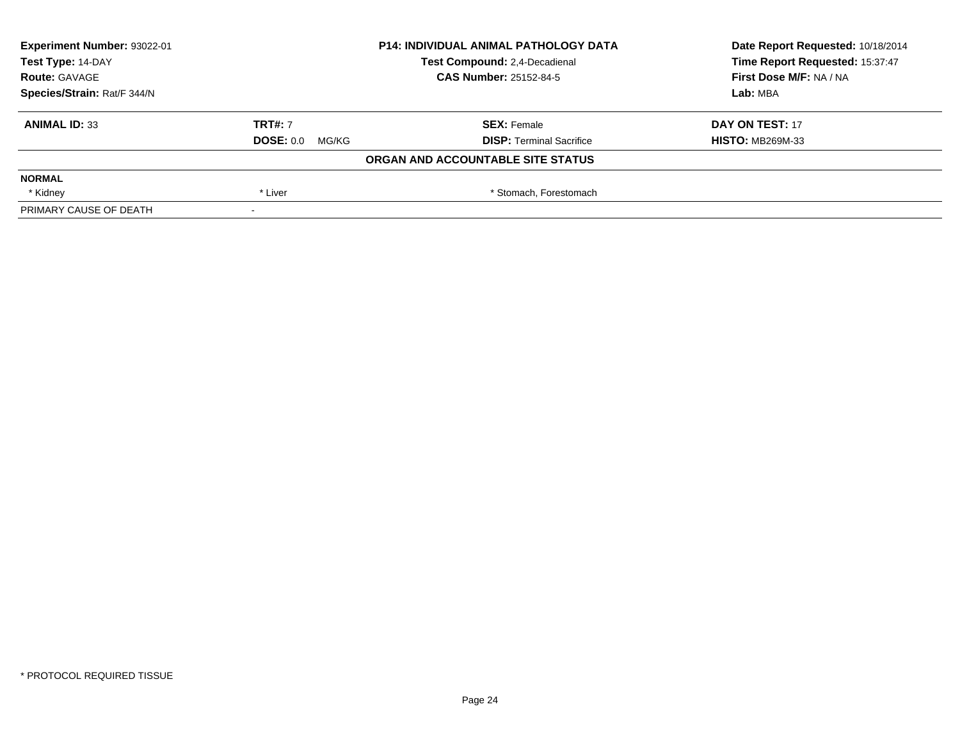| Experiment Number: 93022-01 | <b>P14: INDIVIDUAL ANIMAL PATHOLOGY DATA</b><br>Test Compound: 2,4-Decadienal |                                   | Date Report Requested: 10/18/2014 |  |
|-----------------------------|-------------------------------------------------------------------------------|-----------------------------------|-----------------------------------|--|
| Test Type: 14-DAY           |                                                                               |                                   | Time Report Requested: 15:37:47   |  |
| <b>Route: GAVAGE</b>        |                                                                               | <b>CAS Number: 25152-84-5</b>     | First Dose M/F: NA / NA           |  |
| Species/Strain: Rat/F 344/N |                                                                               |                                   | Lab: MBA                          |  |
| <b>ANIMAL ID: 33</b>        | <b>TRT#: 7</b>                                                                | <b>SEX: Female</b>                | DAY ON TEST: 17                   |  |
|                             | <b>DOSE: 0.0 MG/KG</b>                                                        | <b>DISP: Terminal Sacrifice</b>   | <b>HISTO: MB269M-33</b>           |  |
|                             |                                                                               | ORGAN AND ACCOUNTABLE SITE STATUS |                                   |  |
| <b>NORMAL</b>               |                                                                               |                                   |                                   |  |
| * Kidney                    | * Liver                                                                       | * Stomach, Forestomach            |                                   |  |
| PRIMARY CAUSE OF DEATH      | $\,$                                                                          |                                   |                                   |  |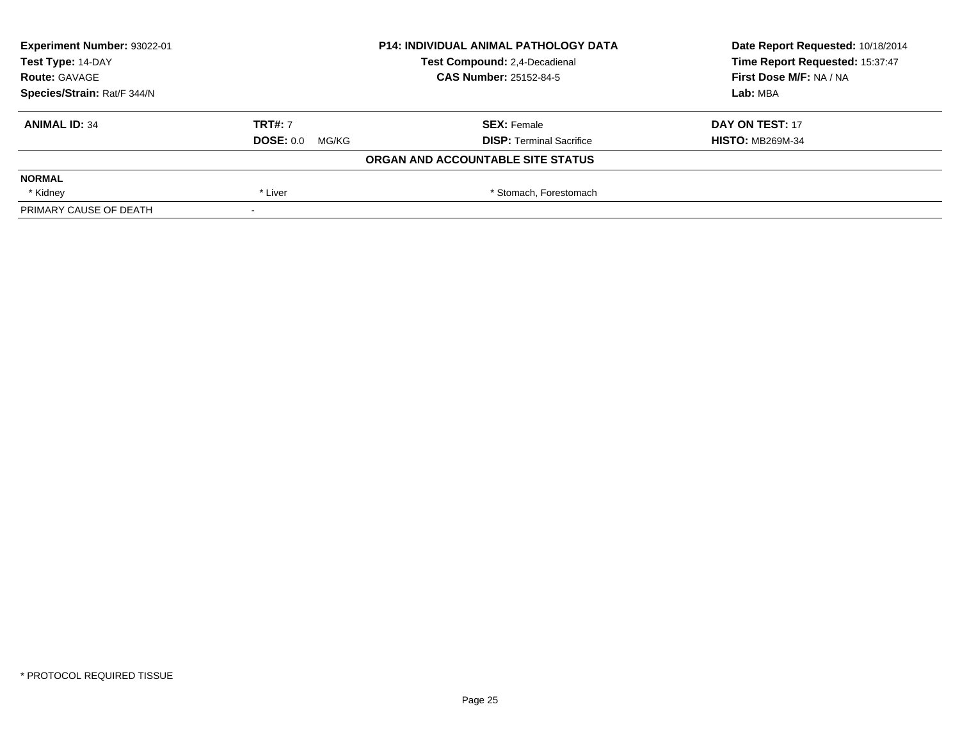| Experiment Number: 93022-01 | <b>P14: INDIVIDUAL ANIMAL PATHOLOGY DATA</b><br>Test Compound: 2,4-Decadienal |                                   | Date Report Requested: 10/18/2014 |
|-----------------------------|-------------------------------------------------------------------------------|-----------------------------------|-----------------------------------|
| Test Type: 14-DAY           |                                                                               |                                   | Time Report Requested: 15:37:47   |
| <b>Route: GAVAGE</b>        |                                                                               | <b>CAS Number: 25152-84-5</b>     | First Dose M/F: NA / NA           |
| Species/Strain: Rat/F 344/N |                                                                               |                                   | Lab: MBA                          |
| <b>ANIMAL ID: 34</b>        | <b>TRT#: 7</b>                                                                | <b>SEX: Female</b>                | DAY ON TEST: 17                   |
|                             | <b>DOSE: 0.0 MG/KG</b>                                                        | <b>DISP: Terminal Sacrifice</b>   | <b>HISTO: MB269M-34</b>           |
|                             |                                                                               | ORGAN AND ACCOUNTABLE SITE STATUS |                                   |
| <b>NORMAL</b>               |                                                                               |                                   |                                   |
| * Kidney                    | * Liver                                                                       | * Stomach, Forestomach            |                                   |
| PRIMARY CAUSE OF DEATH      | $\,$                                                                          |                                   |                                   |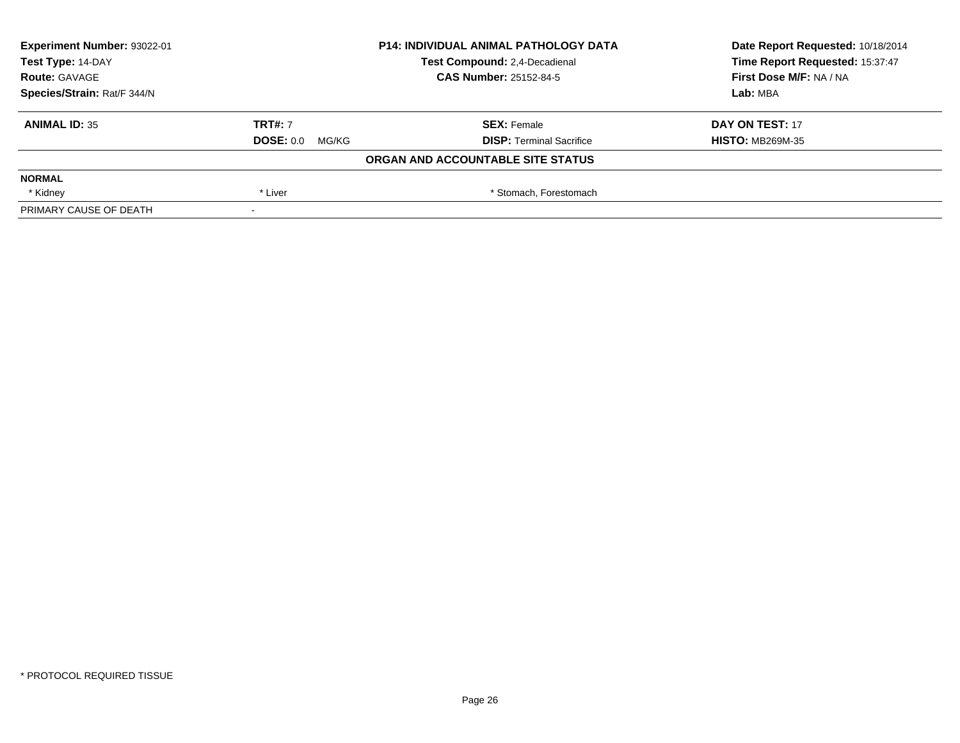| Experiment Number: 93022-01 | <b>P14: INDIVIDUAL ANIMAL PATHOLOGY DATA</b> |                                   | Date Report Requested: 10/18/2014 |  |
|-----------------------------|----------------------------------------------|-----------------------------------|-----------------------------------|--|
| Test Type: 14-DAY           |                                              | Test Compound: 2,4-Decadienal     | Time Report Requested: 15:37:47   |  |
| <b>Route: GAVAGE</b>        |                                              | <b>CAS Number: 25152-84-5</b>     | First Dose M/F: NA / NA           |  |
| Species/Strain: Rat/F 344/N |                                              |                                   | Lab: MBA                          |  |
| <b>ANIMAL ID: 35</b>        | <b>TRT#: 7</b>                               | <b>SEX: Female</b>                | DAY ON TEST: 17                   |  |
|                             | <b>DOSE: 0.0 MG/KG</b>                       | <b>DISP: Terminal Sacrifice</b>   | <b>HISTO: MB269M-35</b>           |  |
|                             |                                              | ORGAN AND ACCOUNTABLE SITE STATUS |                                   |  |
| <b>NORMAL</b>               |                                              |                                   |                                   |  |
| * Kidney                    | * Liver                                      | * Stomach, Forestomach            |                                   |  |
| PRIMARY CAUSE OF DEATH      | $\,$                                         |                                   |                                   |  |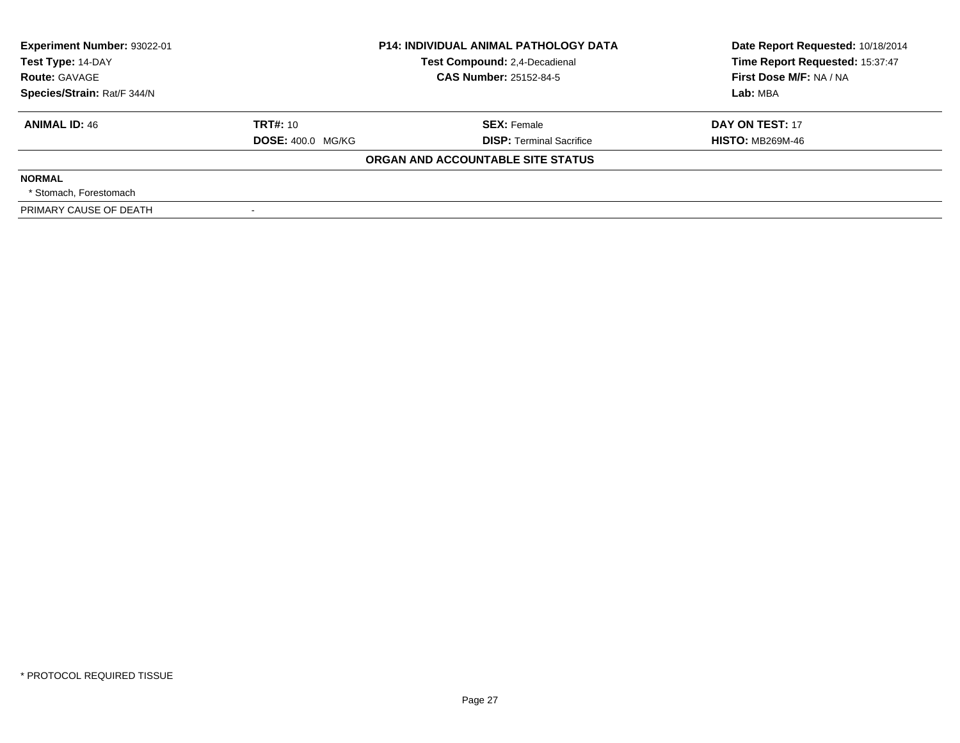| Experiment Number: 93022-01<br><b>P14: INDIVIDUAL ANIMAL PATHOLOGY DATA</b> |                          |                                   | Date Report Requested: 10/18/2014 |  |
|-----------------------------------------------------------------------------|--------------------------|-----------------------------------|-----------------------------------|--|
| Test Type: 14-DAY                                                           |                          | Test Compound: 2,4-Decadienal     | Time Report Requested: 15:37:47   |  |
| <b>Route: GAVAGE</b>                                                        |                          | <b>CAS Number: 25152-84-5</b>     | First Dose M/F: NA / NA           |  |
| Species/Strain: Rat/F 344/N                                                 |                          |                                   | Lab: MBA                          |  |
| <b>ANIMAL ID: 46</b>                                                        | <b>TRT#: 10</b>          | <b>SEX: Female</b>                | DAY ON TEST: 17                   |  |
|                                                                             | <b>DOSE: 400.0 MG/KG</b> | <b>DISP:</b> Terminal Sacrifice   | <b>HISTO: MB269M-46</b>           |  |
|                                                                             |                          | ORGAN AND ACCOUNTABLE SITE STATUS |                                   |  |
| <b>NORMAL</b>                                                               |                          |                                   |                                   |  |
| * Stomach. Forestomach                                                      |                          |                                   |                                   |  |
| PRIMARY CAUSE OF DEATH                                                      |                          |                                   |                                   |  |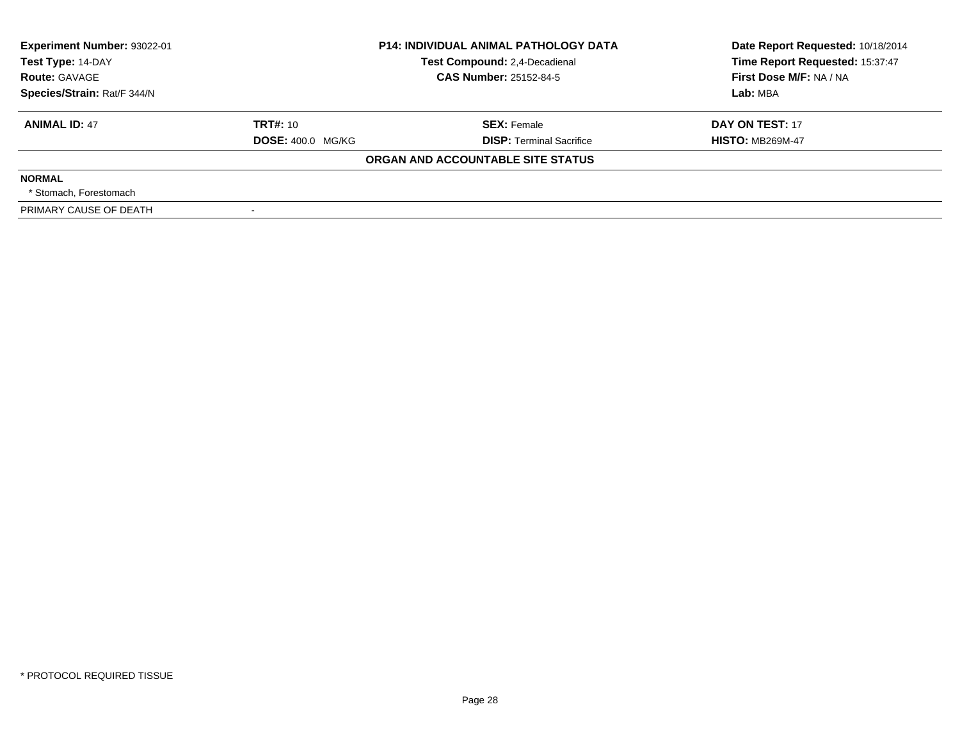| Experiment Number: 93022-01 | <b>P14: INDIVIDUAL ANIMAL PATHOLOGY DATA</b> |                                   | Date Report Requested: 10/18/2014 |
|-----------------------------|----------------------------------------------|-----------------------------------|-----------------------------------|
| Test Type: 14-DAY           |                                              | Test Compound: 2,4-Decadienal     | Time Report Requested: 15:37:47   |
| <b>Route: GAVAGE</b>        |                                              | <b>CAS Number: 25152-84-5</b>     | First Dose M/F: NA / NA           |
| Species/Strain: Rat/F 344/N |                                              |                                   | Lab: MBA                          |
| <b>ANIMAL ID: 47</b>        | <b>TRT#: 10</b>                              | <b>SEX: Female</b>                | DAY ON TEST: 17                   |
|                             | <b>DOSE: 400.0 MG/KG</b>                     | <b>DISP:</b> Terminal Sacrifice   | <b>HISTO: MB269M-47</b>           |
|                             |                                              | ORGAN AND ACCOUNTABLE SITE STATUS |                                   |
| <b>NORMAL</b>               |                                              |                                   |                                   |
| * Stomach. Forestomach      |                                              |                                   |                                   |
| PRIMARY CAUSE OF DEATH      |                                              |                                   |                                   |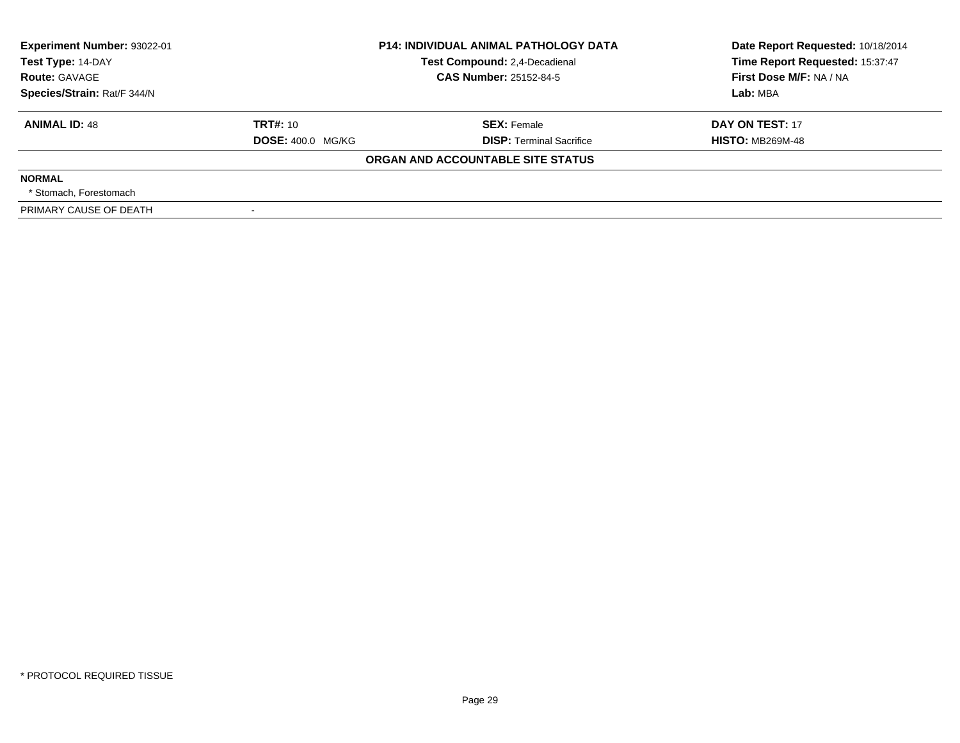| Experiment Number: 93022-01<br>Test Type: 14-DAY | <b>P14: INDIVIDUAL ANIMAL PATHOLOGY DATA</b><br>Test Compound: 2,4-Decadienal |                                   | Date Report Requested: 10/18/2014<br>Time Report Requested: 15:37:47 |  |
|--------------------------------------------------|-------------------------------------------------------------------------------|-----------------------------------|----------------------------------------------------------------------|--|
| <b>Route: GAVAGE</b>                             |                                                                               | <b>CAS Number: 25152-84-5</b>     | First Dose M/F: NA / NA                                              |  |
| Species/Strain: Rat/F 344/N                      |                                                                               |                                   | Lab: MBA                                                             |  |
| <b>ANIMAL ID: 48</b>                             | TRT#: 10                                                                      | <b>SEX: Female</b>                | DAY ON TEST: 17                                                      |  |
|                                                  | <b>DOSE: 400.0 MG/KG</b>                                                      | <b>DISP: Terminal Sacrifice</b>   | <b>HISTO: MB269M-48</b>                                              |  |
|                                                  |                                                                               | ORGAN AND ACCOUNTABLE SITE STATUS |                                                                      |  |
| <b>NORMAL</b>                                    |                                                                               |                                   |                                                                      |  |
| * Stomach. Forestomach                           |                                                                               |                                   |                                                                      |  |
| PRIMARY CAUSE OF DEATH                           |                                                                               |                                   |                                                                      |  |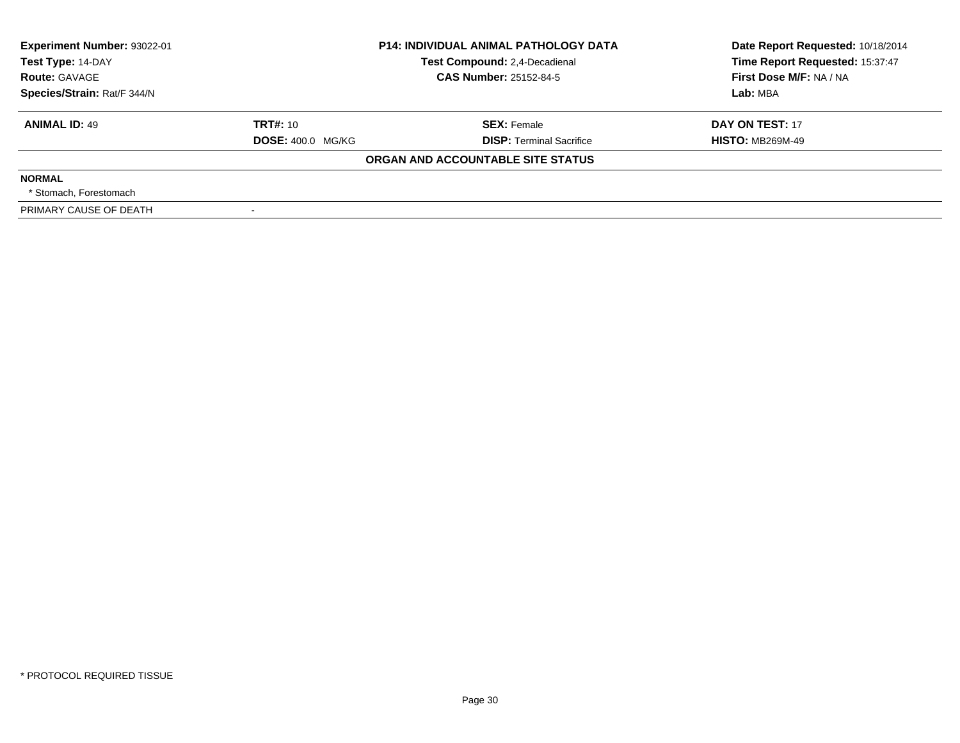| Experiment Number: 93022-01 | <b>P14: INDIVIDUAL ANIMAL PATHOLOGY DATA</b> |                                   | Date Report Requested: 10/18/2014 |  |
|-----------------------------|----------------------------------------------|-----------------------------------|-----------------------------------|--|
| Test Type: 14-DAY           |                                              | Test Compound: 2,4-Decadienal     | Time Report Requested: 15:37:47   |  |
| <b>Route: GAVAGE</b>        |                                              | <b>CAS Number: 25152-84-5</b>     | First Dose M/F: NA / NA           |  |
| Species/Strain: Rat/F 344/N |                                              |                                   | Lab: MBA                          |  |
| <b>ANIMAL ID: 49</b>        | <b>TRT#: 10</b>                              | <b>SEX: Female</b>                | DAY ON TEST: 17                   |  |
|                             | <b>DOSE: 400.0 MG/KG</b>                     | <b>DISP: Terminal Sacrifice</b>   | <b>HISTO: MB269M-49</b>           |  |
|                             |                                              | ORGAN AND ACCOUNTABLE SITE STATUS |                                   |  |
| <b>NORMAL</b>               |                                              |                                   |                                   |  |
| * Stomach. Forestomach      |                                              |                                   |                                   |  |
| PRIMARY CAUSE OF DEATH      |                                              |                                   |                                   |  |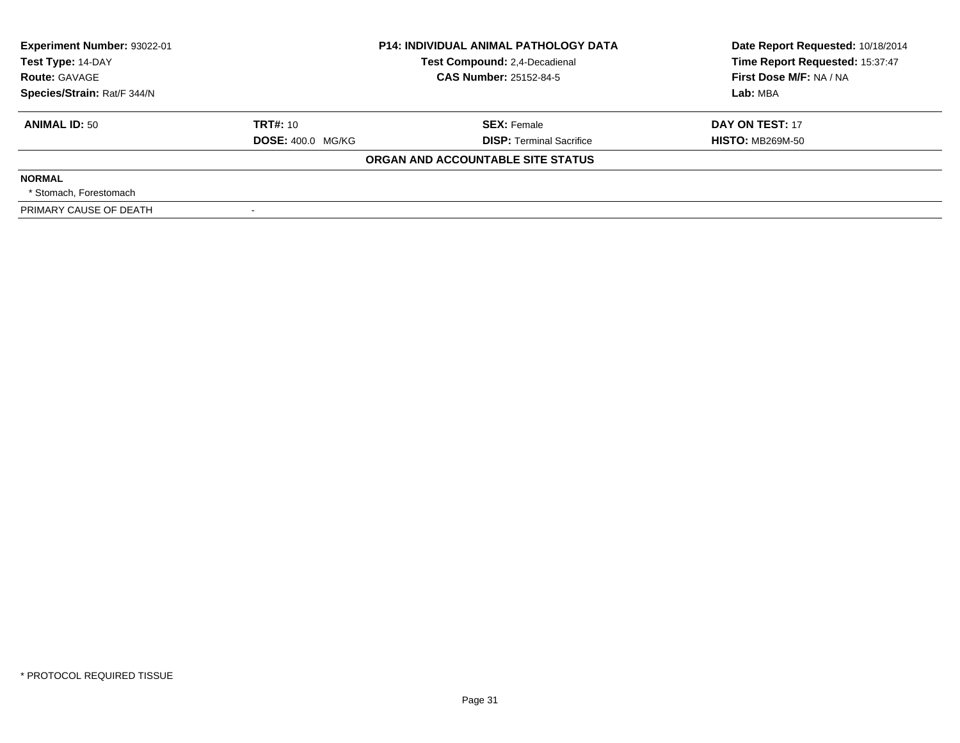| Experiment Number: 93022-01 | <b>P14: INDIVIDUAL ANIMAL PATHOLOGY DATA</b> |                                   | Date Report Requested: 10/18/2014 |
|-----------------------------|----------------------------------------------|-----------------------------------|-----------------------------------|
| Test Type: 14-DAY           |                                              | Test Compound: 2,4-Decadienal     | Time Report Requested: 15:37:47   |
| <b>Route: GAVAGE</b>        |                                              | <b>CAS Number: 25152-84-5</b>     | First Dose M/F: NA / NA           |
| Species/Strain: Rat/F 344/N |                                              |                                   | Lab: MBA                          |
| <b>ANIMAL ID: 50</b>        | <b>TRT#: 10</b>                              | <b>SEX: Female</b>                | DAY ON TEST: 17                   |
|                             | <b>DOSE: 400.0 MG/KG</b>                     | <b>DISP: Terminal Sacrifice</b>   | <b>HISTO: MB269M-50</b>           |
|                             |                                              | ORGAN AND ACCOUNTABLE SITE STATUS |                                   |
| <b>NORMAL</b>               |                                              |                                   |                                   |
| * Stomach. Forestomach      |                                              |                                   |                                   |
| PRIMARY CAUSE OF DEATH      |                                              |                                   |                                   |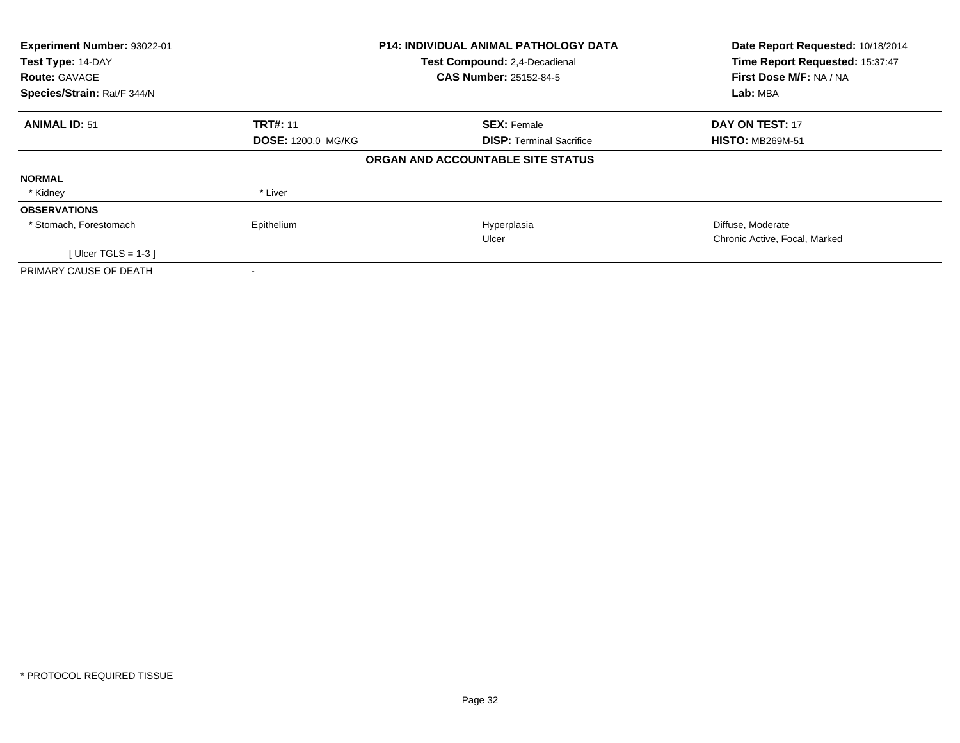| Experiment Number: 93022-01<br>Test Type: 14-DAY<br><b>Route: GAVAGE</b> |                           | <b>P14: INDIVIDUAL ANIMAL PATHOLOGY DATA</b><br>Test Compound: 2,4-Decadienal<br><b>CAS Number: 25152-84-5</b> | Date Report Requested: 10/18/2014<br>Time Report Requested: 15:37:47<br>First Dose M/F: NA / NA |
|--------------------------------------------------------------------------|---------------------------|----------------------------------------------------------------------------------------------------------------|-------------------------------------------------------------------------------------------------|
| Species/Strain: Rat/F 344/N                                              |                           |                                                                                                                | Lab: MBA                                                                                        |
| <b>ANIMAL ID: 51</b>                                                     | <b>TRT#: 11</b>           | <b>SEX: Female</b>                                                                                             | DAY ON TEST: 17                                                                                 |
|                                                                          | <b>DOSE: 1200.0 MG/KG</b> | <b>DISP:</b> Terminal Sacrifice                                                                                | <b>HISTO: MB269M-51</b>                                                                         |
|                                                                          |                           | ORGAN AND ACCOUNTABLE SITE STATUS                                                                              |                                                                                                 |
| <b>NORMAL</b>                                                            |                           |                                                                                                                |                                                                                                 |
| * Kidney                                                                 | * Liver                   |                                                                                                                |                                                                                                 |
| <b>OBSERVATIONS</b>                                                      |                           |                                                                                                                |                                                                                                 |
| * Stomach, Forestomach                                                   | Epithelium                | Hyperplasia                                                                                                    | Diffuse, Moderate                                                                               |
|                                                                          |                           | Ulcer                                                                                                          | Chronic Active, Focal, Marked                                                                   |
| [ Ulcer TGLS = $1-3$ ]                                                   |                           |                                                                                                                |                                                                                                 |
| PRIMARY CAUSE OF DEATH                                                   |                           |                                                                                                                |                                                                                                 |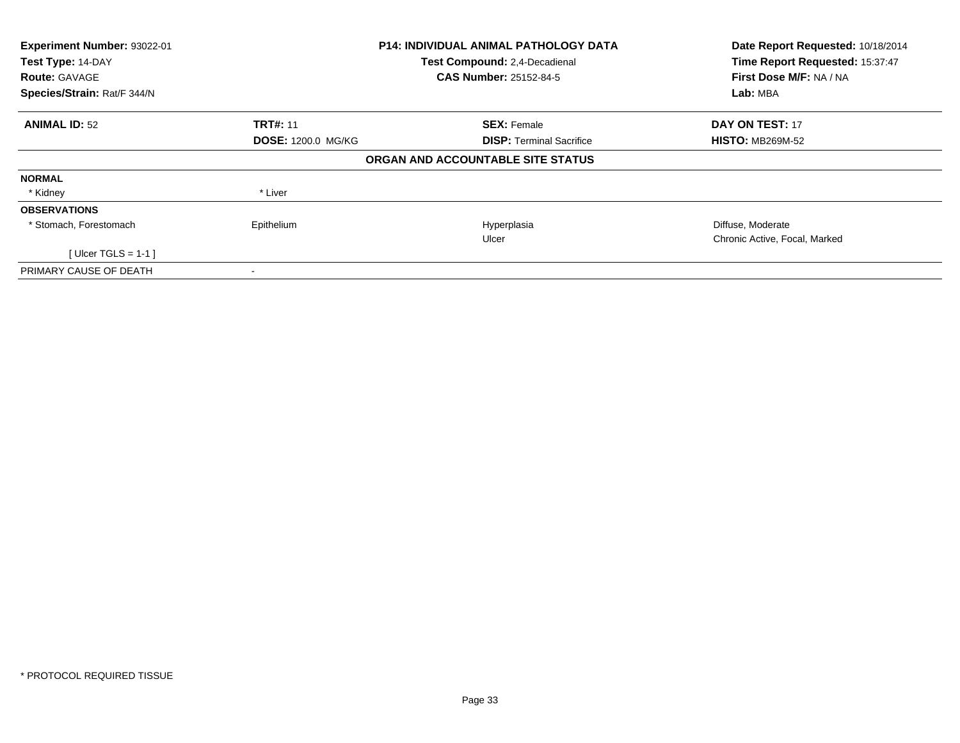| Experiment Number: 93022-01<br>Test Type: 14-DAY<br><b>Route: GAVAGE</b> |                           | <b>P14: INDIVIDUAL ANIMAL PATHOLOGY DATA</b><br>Test Compound: 2,4-Decadienal<br><b>CAS Number: 25152-84-5</b> | Date Report Requested: 10/18/2014<br>Time Report Requested: 15:37:47<br>First Dose M/F: NA / NA |
|--------------------------------------------------------------------------|---------------------------|----------------------------------------------------------------------------------------------------------------|-------------------------------------------------------------------------------------------------|
| Species/Strain: Rat/F 344/N                                              |                           |                                                                                                                | Lab: MBA                                                                                        |
| <b>ANIMAL ID: 52</b>                                                     | <b>TRT#: 11</b>           | <b>SEX: Female</b>                                                                                             | DAY ON TEST: 17                                                                                 |
|                                                                          | <b>DOSE: 1200.0 MG/KG</b> | <b>DISP:</b> Terminal Sacrifice                                                                                | <b>HISTO: MB269M-52</b>                                                                         |
|                                                                          |                           | ORGAN AND ACCOUNTABLE SITE STATUS                                                                              |                                                                                                 |
| <b>NORMAL</b>                                                            |                           |                                                                                                                |                                                                                                 |
| * Kidney                                                                 | * Liver                   |                                                                                                                |                                                                                                 |
| <b>OBSERVATIONS</b>                                                      |                           |                                                                                                                |                                                                                                 |
| * Stomach, Forestomach                                                   | Epithelium                | Hyperplasia                                                                                                    | Diffuse, Moderate                                                                               |
|                                                                          |                           | Ulcer                                                                                                          | Chronic Active, Focal, Marked                                                                   |
| [ Ulcer TGLS = $1-1$ ]                                                   |                           |                                                                                                                |                                                                                                 |
| PRIMARY CAUSE OF DEATH                                                   |                           |                                                                                                                |                                                                                                 |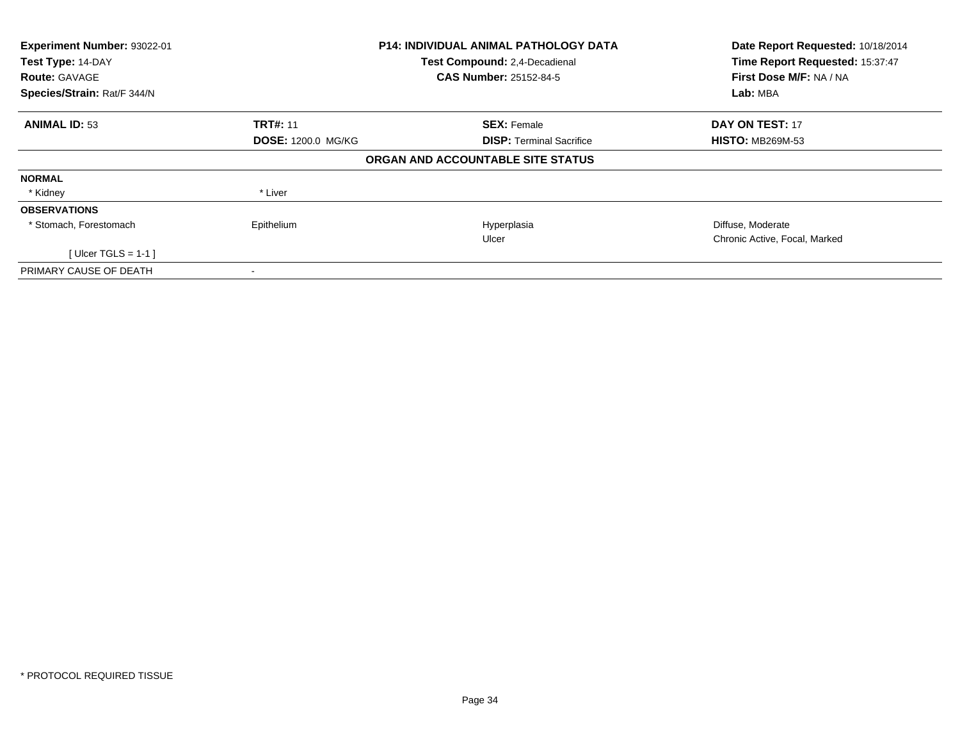| Experiment Number: 93022-01<br>Test Type: 14-DAY<br><b>Route: GAVAGE</b> |                           | <b>P14: INDIVIDUAL ANIMAL PATHOLOGY DATA</b><br>Test Compound: 2,4-Decadienal<br><b>CAS Number: 25152-84-5</b> | Date Report Requested: 10/18/2014<br>Time Report Requested: 15:37:47<br>First Dose M/F: NA / NA |
|--------------------------------------------------------------------------|---------------------------|----------------------------------------------------------------------------------------------------------------|-------------------------------------------------------------------------------------------------|
| Species/Strain: Rat/F 344/N                                              |                           |                                                                                                                | Lab: MBA                                                                                        |
| <b>ANIMAL ID: 53</b>                                                     | <b>TRT#: 11</b>           | <b>SEX: Female</b>                                                                                             | DAY ON TEST: 17                                                                                 |
|                                                                          | <b>DOSE: 1200.0 MG/KG</b> | <b>DISP:</b> Terminal Sacrifice                                                                                | <b>HISTO: MB269M-53</b>                                                                         |
|                                                                          |                           | ORGAN AND ACCOUNTABLE SITE STATUS                                                                              |                                                                                                 |
| <b>NORMAL</b>                                                            |                           |                                                                                                                |                                                                                                 |
| * Kidney                                                                 | * Liver                   |                                                                                                                |                                                                                                 |
| <b>OBSERVATIONS</b>                                                      |                           |                                                                                                                |                                                                                                 |
| * Stomach, Forestomach                                                   | Epithelium                | Hyperplasia                                                                                                    | Diffuse, Moderate                                                                               |
|                                                                          |                           | Ulcer                                                                                                          | Chronic Active, Focal, Marked                                                                   |
| [ Ulcer TGLS = $1-1$ ]                                                   |                           |                                                                                                                |                                                                                                 |
| PRIMARY CAUSE OF DEATH                                                   |                           |                                                                                                                |                                                                                                 |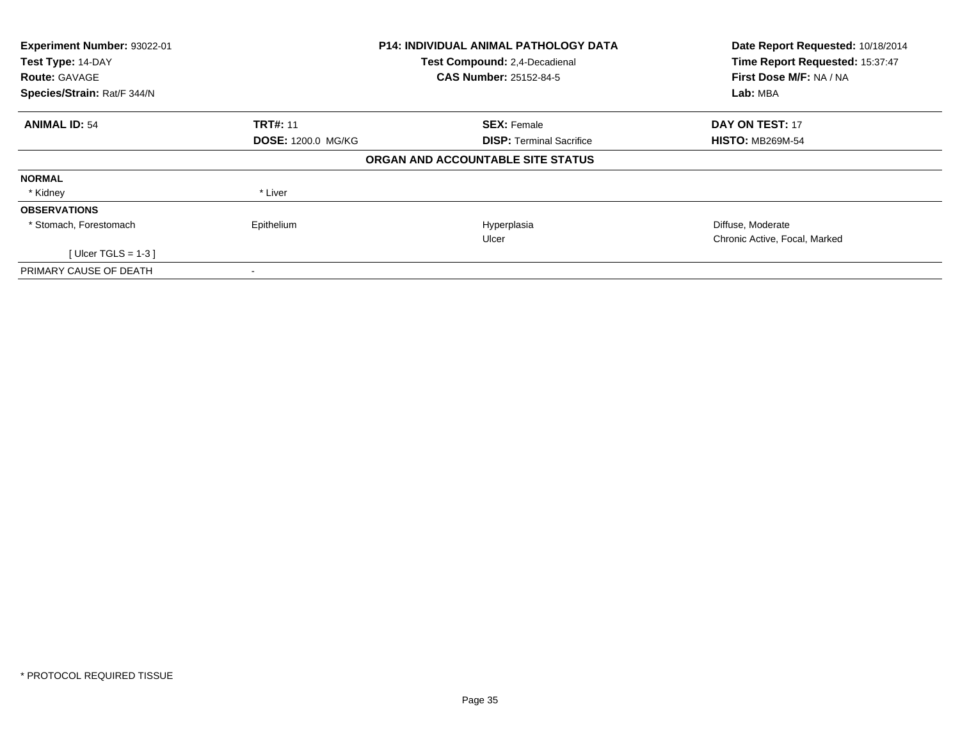| Experiment Number: 93022-01<br>Test Type: 14-DAY<br><b>Route: GAVAGE</b> |                           | <b>P14: INDIVIDUAL ANIMAL PATHOLOGY DATA</b><br>Test Compound: 2,4-Decadienal<br><b>CAS Number: 25152-84-5</b> | Date Report Requested: 10/18/2014<br>Time Report Requested: 15:37:47<br>First Dose M/F: NA / NA |
|--------------------------------------------------------------------------|---------------------------|----------------------------------------------------------------------------------------------------------------|-------------------------------------------------------------------------------------------------|
| Species/Strain: Rat/F 344/N                                              |                           |                                                                                                                | Lab: MBA                                                                                        |
| <b>ANIMAL ID: 54</b>                                                     | <b>TRT#: 11</b>           | <b>SEX: Female</b>                                                                                             | DAY ON TEST: 17                                                                                 |
|                                                                          | <b>DOSE: 1200.0 MG/KG</b> | <b>DISP:</b> Terminal Sacrifice                                                                                | <b>HISTO: MB269M-54</b>                                                                         |
|                                                                          |                           | ORGAN AND ACCOUNTABLE SITE STATUS                                                                              |                                                                                                 |
| <b>NORMAL</b>                                                            |                           |                                                                                                                |                                                                                                 |
| * Kidney                                                                 | * Liver                   |                                                                                                                |                                                                                                 |
| <b>OBSERVATIONS</b>                                                      |                           |                                                                                                                |                                                                                                 |
| * Stomach, Forestomach                                                   | Epithelium                | Hyperplasia                                                                                                    | Diffuse, Moderate                                                                               |
|                                                                          |                           | Ulcer                                                                                                          | Chronic Active, Focal, Marked                                                                   |
| [ Ulcer TGLS = $1-3$ ]                                                   |                           |                                                                                                                |                                                                                                 |
| PRIMARY CAUSE OF DEATH                                                   |                           |                                                                                                                |                                                                                                 |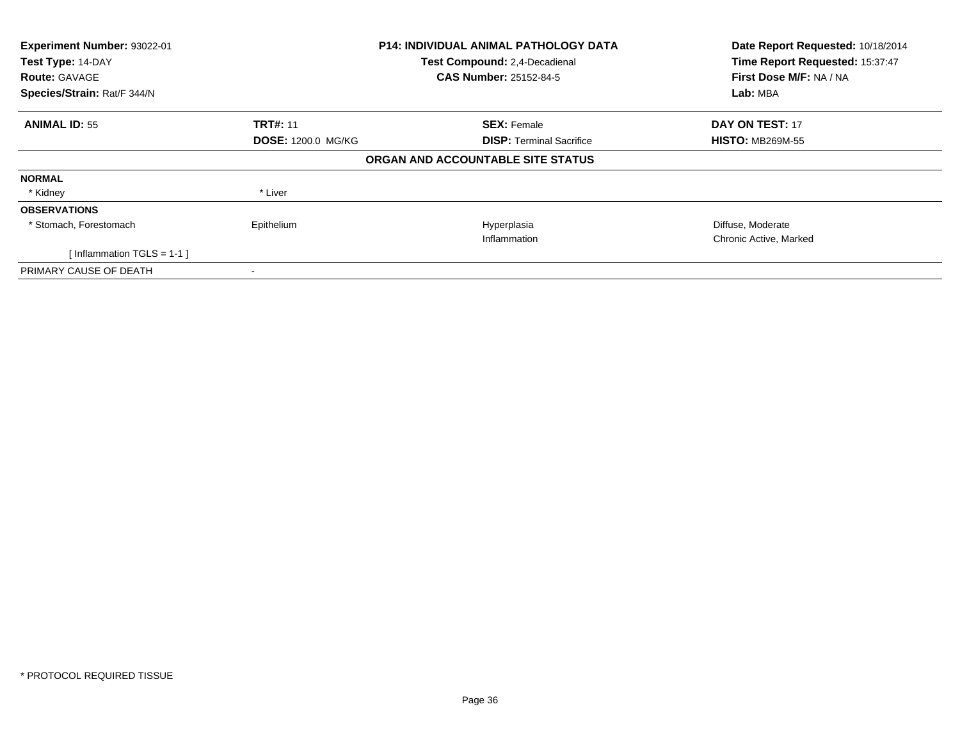| Experiment Number: 93022-01<br>Test Type: 14-DAY<br><b>Route: GAVAGE</b><br>Species/Strain: Rat/F 344/N |                           | P14: INDIVIDUAL ANIMAL PATHOLOGY DATA<br>Test Compound: 2,4-Decadienal<br><b>CAS Number: 25152-84-5</b> | Date Report Requested: 10/18/2014<br>Time Report Requested: 15:37:47<br>First Dose M/F: NA / NA<br>Lab: MBA |
|---------------------------------------------------------------------------------------------------------|---------------------------|---------------------------------------------------------------------------------------------------------|-------------------------------------------------------------------------------------------------------------|
| <b>ANIMAL ID: 55</b>                                                                                    | <b>TRT#: 11</b>           | <b>SEX: Female</b>                                                                                      | DAY ON TEST: 17                                                                                             |
|                                                                                                         | <b>DOSE: 1200.0 MG/KG</b> | <b>DISP:</b> Terminal Sacrifice                                                                         | <b>HISTO: MB269M-55</b>                                                                                     |
|                                                                                                         |                           | ORGAN AND ACCOUNTABLE SITE STATUS                                                                       |                                                                                                             |
| <b>NORMAL</b>                                                                                           |                           |                                                                                                         |                                                                                                             |
| * Kidney                                                                                                | * Liver                   |                                                                                                         |                                                                                                             |
| <b>OBSERVATIONS</b>                                                                                     |                           |                                                                                                         |                                                                                                             |
| * Stomach, Forestomach                                                                                  | Epithelium                | Hyperplasia                                                                                             | Diffuse, Moderate                                                                                           |
|                                                                                                         |                           | Inflammation                                                                                            | Chronic Active, Marked                                                                                      |
| [Inflammation TGLS = $1-1$ ]                                                                            |                           |                                                                                                         |                                                                                                             |
| PRIMARY CAUSE OF DEATH                                                                                  |                           |                                                                                                         |                                                                                                             |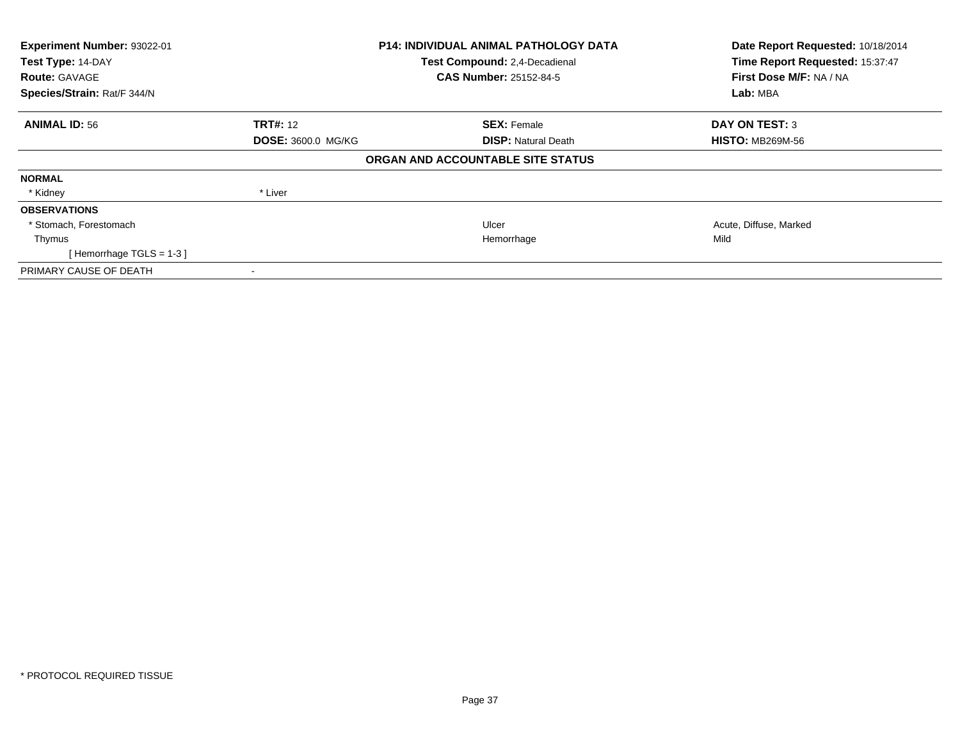| Experiment Number: 93022-01<br>Test Type: 14-DAY<br><b>Route: GAVAGE</b><br>Species/Strain: Rat/F 344/N | <b>P14: INDIVIDUAL ANIMAL PATHOLOGY DATA</b><br>Test Compound: 2,4-Decadienal<br><b>CAS Number: 25152-84-5</b> |                                   | Date Report Requested: 10/18/2014<br>Time Report Requested: 15:37:47<br>First Dose M/F: NA / NA<br>Lab: MBA |
|---------------------------------------------------------------------------------------------------------|----------------------------------------------------------------------------------------------------------------|-----------------------------------|-------------------------------------------------------------------------------------------------------------|
| <b>ANIMAL ID: 56</b>                                                                                    | <b>TRT#: 12</b>                                                                                                | <b>SEX: Female</b>                | <b>DAY ON TEST: 3</b>                                                                                       |
|                                                                                                         | <b>DOSE: 3600.0 MG/KG</b>                                                                                      | <b>DISP: Natural Death</b>        | <b>HISTO: MB269M-56</b>                                                                                     |
|                                                                                                         |                                                                                                                | ORGAN AND ACCOUNTABLE SITE STATUS |                                                                                                             |
| <b>NORMAL</b>                                                                                           |                                                                                                                |                                   |                                                                                                             |
| * Kidney                                                                                                | * Liver                                                                                                        |                                   |                                                                                                             |
| <b>OBSERVATIONS</b>                                                                                     |                                                                                                                |                                   |                                                                                                             |
| * Stomach, Forestomach                                                                                  |                                                                                                                | Ulcer                             | Acute, Diffuse, Marked                                                                                      |
| Thymus                                                                                                  |                                                                                                                | Hemorrhage                        | Mild                                                                                                        |
| [Hemorrhage TGLS = 1-3]                                                                                 |                                                                                                                |                                   |                                                                                                             |
| PRIMARY CAUSE OF DEATH                                                                                  | $\overline{\phantom{a}}$                                                                                       |                                   |                                                                                                             |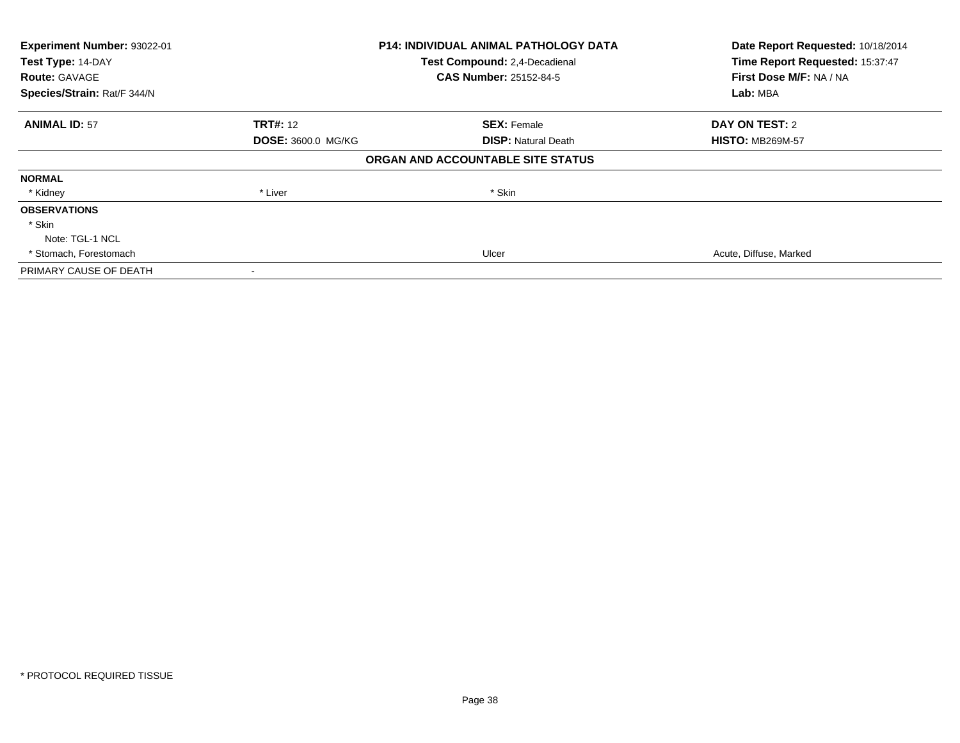| Experiment Number: 93022-01 |                           | <b>P14: INDIVIDUAL ANIMAL PATHOLOGY DATA</b> | Date Report Requested: 10/18/2014                          |
|-----------------------------|---------------------------|----------------------------------------------|------------------------------------------------------------|
| Test Type: 14-DAY           |                           | Test Compound: 2,4-Decadienal                | Time Report Requested: 15:37:47<br>First Dose M/F: NA / NA |
| <b>Route: GAVAGE</b>        |                           | <b>CAS Number: 25152-84-5</b>                |                                                            |
| Species/Strain: Rat/F 344/N |                           |                                              | Lab: MBA                                                   |
| <b>ANIMAL ID: 57</b>        | <b>TRT#:</b> 12           | <b>SEX: Female</b>                           | DAY ON TEST: 2                                             |
|                             | <b>DOSE: 3600.0 MG/KG</b> | <b>DISP: Natural Death</b>                   | <b>HISTO: MB269M-57</b>                                    |
|                             |                           | ORGAN AND ACCOUNTABLE SITE STATUS            |                                                            |
| <b>NORMAL</b>               |                           |                                              |                                                            |
| * Kidney                    | * Liver                   | * Skin                                       |                                                            |
| <b>OBSERVATIONS</b>         |                           |                                              |                                                            |
| * Skin                      |                           |                                              |                                                            |
| Note: TGL-1 NCL             |                           |                                              |                                                            |
| * Stomach, Forestomach      |                           | Ulcer                                        | Acute, Diffuse, Marked                                     |
| PRIMARY CAUSE OF DEATH      |                           |                                              |                                                            |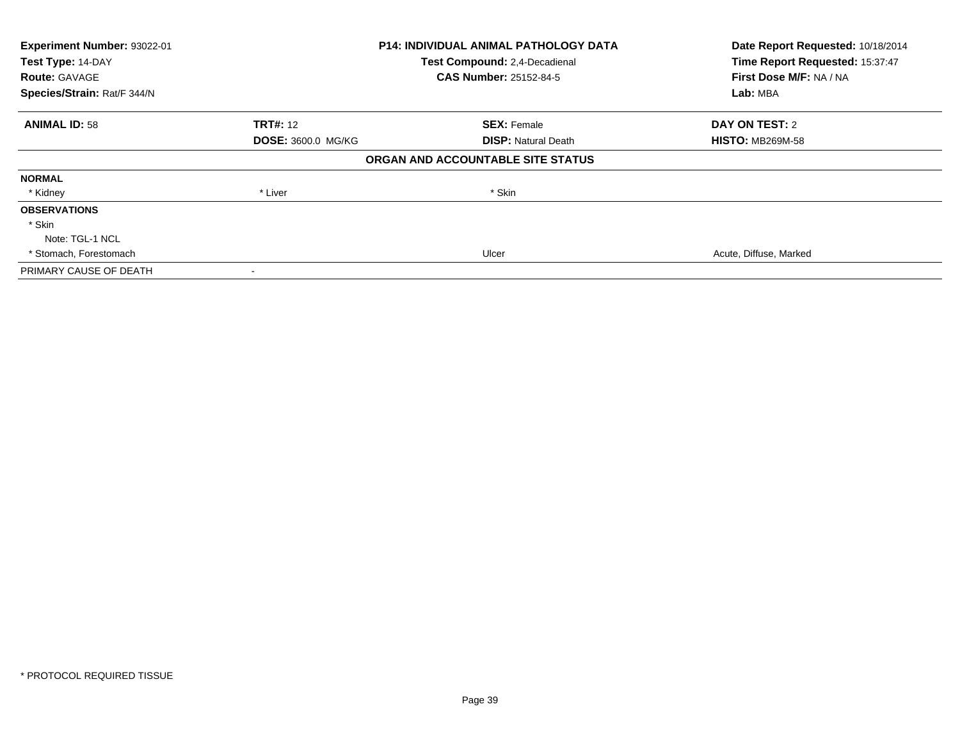| Experiment Number: 93022-01<br>Test Type: 14-DAY |                           | <b>P14: INDIVIDUAL ANIMAL PATHOLOGY DATA</b> | Date Report Requested: 10/18/2014<br>Time Report Requested: 15:37:47 |
|--------------------------------------------------|---------------------------|----------------------------------------------|----------------------------------------------------------------------|
|                                                  |                           | Test Compound: 2,4-Decadienal                |                                                                      |
| <b>Route: GAVAGE</b>                             |                           | <b>CAS Number: 25152-84-5</b>                | First Dose M/F: NA / NA                                              |
| Species/Strain: Rat/F 344/N                      |                           |                                              | Lab: MBA                                                             |
| <b>ANIMAL ID: 58</b>                             | <b>TRT#: 12</b>           | <b>SEX: Female</b>                           | DAY ON TEST: 2                                                       |
|                                                  | <b>DOSE: 3600.0 MG/KG</b> | <b>DISP:</b> Natural Death                   | <b>HISTO: MB269M-58</b>                                              |
|                                                  |                           | ORGAN AND ACCOUNTABLE SITE STATUS            |                                                                      |
| <b>NORMAL</b>                                    |                           |                                              |                                                                      |
| * Kidney                                         | * Liver                   | * Skin                                       |                                                                      |
| <b>OBSERVATIONS</b>                              |                           |                                              |                                                                      |
| * Skin                                           |                           |                                              |                                                                      |
| Note: TGL-1 NCL                                  |                           |                                              |                                                                      |
| * Stomach, Forestomach                           |                           | Ulcer                                        | Acute, Diffuse, Marked                                               |
| PRIMARY CAUSE OF DEATH                           |                           |                                              |                                                                      |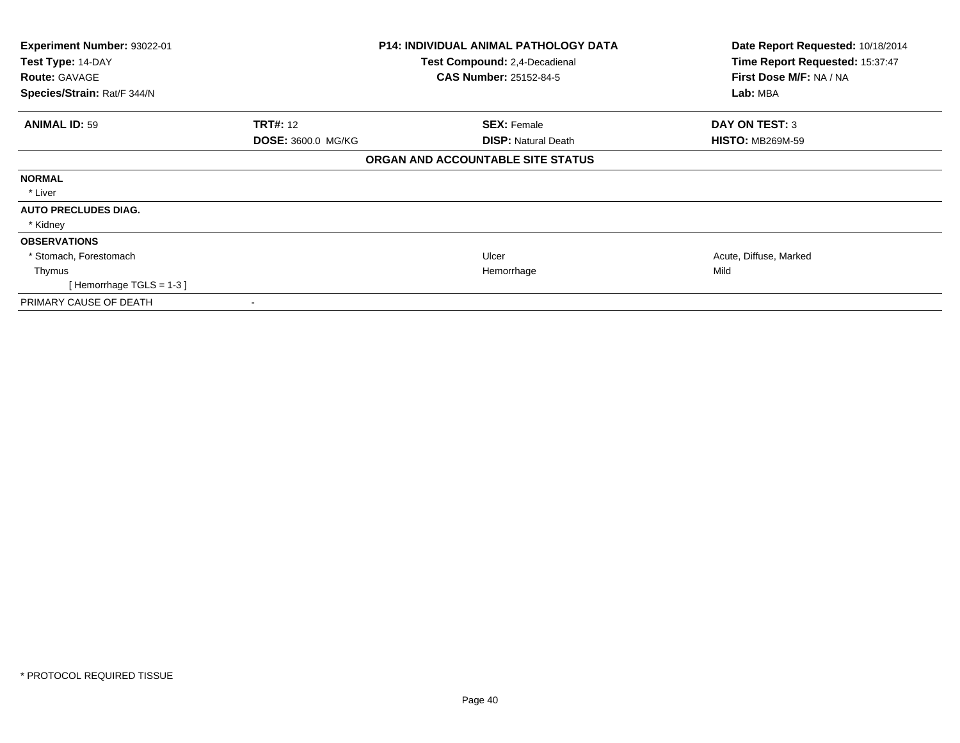| Experiment Number: 93022-01<br>Test Type: 14-DAY<br><b>Route: GAVAGE</b><br>Species/Strain: Rat/F 344/N |                           | <b>P14: INDIVIDUAL ANIMAL PATHOLOGY DATA</b><br>Test Compound: 2,4-Decadienal<br><b>CAS Number: 25152-84-5</b> | Date Report Requested: 10/18/2014<br>Time Report Requested: 15:37:47<br>First Dose M/F: NA / NA<br>Lab: MBA |
|---------------------------------------------------------------------------------------------------------|---------------------------|----------------------------------------------------------------------------------------------------------------|-------------------------------------------------------------------------------------------------------------|
| <b>ANIMAL ID: 59</b>                                                                                    | <b>TRT#: 12</b>           | <b>SEX: Female</b>                                                                                             | <b>DAY ON TEST: 3</b>                                                                                       |
|                                                                                                         | <b>DOSE: 3600.0 MG/KG</b> | <b>DISP: Natural Death</b>                                                                                     | <b>HISTO: MB269M-59</b>                                                                                     |
|                                                                                                         |                           | ORGAN AND ACCOUNTABLE SITE STATUS                                                                              |                                                                                                             |
| <b>NORMAL</b>                                                                                           |                           |                                                                                                                |                                                                                                             |
| * Liver                                                                                                 |                           |                                                                                                                |                                                                                                             |
| <b>AUTO PRECLUDES DIAG.</b>                                                                             |                           |                                                                                                                |                                                                                                             |
| * Kidney                                                                                                |                           |                                                                                                                |                                                                                                             |
| <b>OBSERVATIONS</b>                                                                                     |                           |                                                                                                                |                                                                                                             |
| * Stomach, Forestomach                                                                                  |                           | Ulcer                                                                                                          | Acute, Diffuse, Marked                                                                                      |
| Thymus                                                                                                  |                           | Hemorrhage                                                                                                     | Mild                                                                                                        |
| [Hemorrhage TGLS = $1-3$ ]                                                                              |                           |                                                                                                                |                                                                                                             |
| PRIMARY CAUSE OF DEATH                                                                                  |                           |                                                                                                                |                                                                                                             |